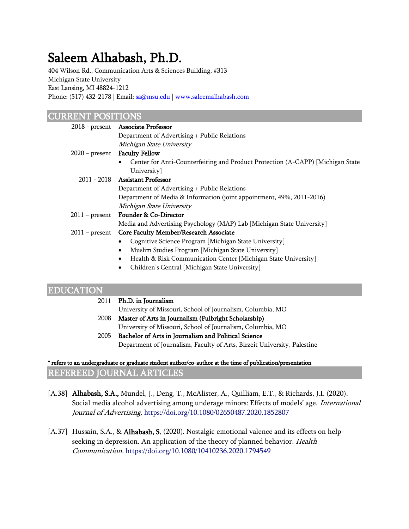# Saleem Alhabash, Ph.D.

404 Wilson Rd., Communication Arts & Sciences Building, #313 Michigan State University East Lansing, MI 48824-1212 Phone: (517) 432-2178 | Email: [sa@msu.edu](mailto:sa@msu.edu) | [www.saleemalhabash.com](http://www.saleemalhabash.com/)

## CURRENT POSITIONS

| $2018$ - present | <b>Associate Professor</b>                                                     |
|------------------|--------------------------------------------------------------------------------|
|                  | Department of Advertising + Public Relations                                   |
|                  | Michigan State University                                                      |
|                  | 2020 – present Faculty Fellow                                                  |
|                  | Center for Anti-Counterfeiting and Product Protection (A-CAPP) [Michigan State |
|                  | University                                                                     |
|                  | 2011 - 2018 Assistant Professor                                                |
|                  | Department of Advertising + Public Relations                                   |
|                  | Department of Media & Information (joint appointment, 49%, 2011-2016)          |
|                  | Michigan State University                                                      |
|                  | 2011 – present Founder & Co-Director                                           |
|                  | Media and Advertising Psychology (MAP) Lab [Michigan State University]         |
| $2011 - present$ | Core Faculty Member/Research Associate                                         |
|                  | Cognitive Science Program [Michigan State University]                          |
|                  | Muslim Studies Program [Michigan State University]<br>٠                        |
|                  | Health & Risk Communication Center [Michigan State University]                 |

• Children's Central [Michigan State University]

## EDUCATION

| 2011 | Ph.D. in Journalism                                                      |
|------|--------------------------------------------------------------------------|
|      | University of Missouri, School of Journalism, Columbia, MO               |
| 2008 | Master of Arts in Journalism (Fulbright Scholarship)                     |
|      | University of Missouri, School of Journalism, Columbia, MO               |
| 2005 | Bachelor of Arts in Journalism and Political Science                     |
|      | Department of Journalism, Faculty of Arts, Birzeit University, Palestine |
|      |                                                                          |

\* refers to an undergraduate or graduate student author/co-author at the time of publication/presentation

REFEREED JOURNAL ARTICLES

- [A.38] **Alhabash, S.A.,** Mundel, J., Deng, T., McAlister, A., Quilliam, E.T., & Richards, J.I. (2020). Social media alcohol advertising among underage minors: Effects of models' age. International Journal of Advertising, <https://doi.org/10.1080/02650487.2020.1852807>
- [A.37] Hussain, S.A., & **Alhabash, S.** (2020). Nostalgic emotional valence and its effects on helpseeking in depression. An application of the theory of planned behavior. Health Communication. <https://doi.org/10.1080/10410236.2020.1794549>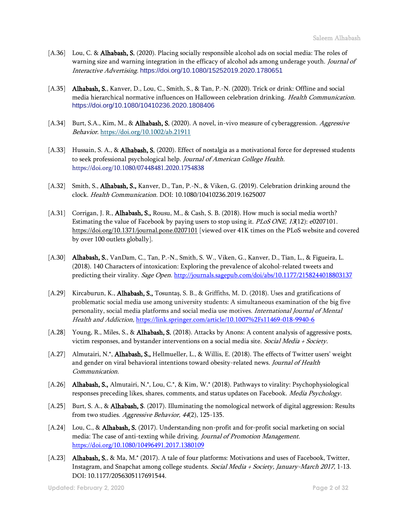- [A.36] Lou, C. & **Alhabash, S.** (2020). Placing socially responsible alcohol ads on social media: The roles of warning size and warning integration in the efficacy of alcohol ads among underage youth. Journal of Interactive Advertising. <https://doi.org/10.1080/15252019.2020.1780651>
- [A.35] Alhabash, S., Kanver, D., Lou, C., Smith, S., & Tan, P.-N. (2020). Trick or drink: Offline and social media hierarchical normative influences on Halloween celebration drinking. Health Communication. <https://doi.org/10.1080/10410236.2020.1808406>
- [A.34] Burt, S.A., Kim, M., & **Alhabash, S.** (2020). A novel, in-vivo measure of cyberaggression. *Aggressive* Behavior. <https://doi.org/10.1002/ab.21911>
- [A.33] Hussain, S. A., & **Alhabash, S.** (2020). Effect of nostalgia as a motivational force for depressed students to seek professional psychological help. Journal of American College Health. <https://doi.org/10.1080/07448481.2020.1754838>
- [A.32] Smith, S., **Alhabash, S.,** Kanver, D., Tan, P.-N., & Viken, G. (2019). Celebration drinking around the clock. Health Communication. DOI: 10.1080/10410236.2019.1625007
- [A.31] Corrigan, J. R., **Alhabash, S.,** Rousu, M., & Cash, S. B. (2018). How much is social media worth? Estimating the value of Facebook by paying users to stop using it. *PLoS ONE*, 13(12): e0207101. <https://doi.org/10.1371/journal.pone.0207101> [viewed over 41K times on the PLoS website and covered by over 100 outlets globally].
- [A.30] Alhabash, S., VanDam, C., Tan, P.-N., Smith, S. W., Viken, G., Kanver, D., Tian, L., & Figueira, L. (2018). 140 Characters of intoxication: Exploring the prevalence of alcohol-related tweets and predicting their virality. Sage Open[. http://journals.sagepub.com/doi/abs/10.1177/2158244018803137](http://journals.sagepub.com/doi/abs/10.1177/2158244018803137)
- [A.29] Kircaburun, K., **Alhabash, S.,** Tosuntaş, S. B., & Griffiths, M. D. (2018). Uses and gratifications of problematic social media use among university students: A simultaneous examination of the big five personality, social media platforms and social media use motives. International Journal of Mental Health and Addiction, <https://link.springer.com/article/10.1007%2Fs11469-018-9940-6>
- [A.28] Young, R., Miles, S., & Alhabash, S. (2018). Attacks by Anons: A content analysis of aggressive posts, victim responses, and bystander interventions on a social media site. Social Media + Society.
- [A.27] Almutairi, N.\*, **Alhabash, S.,** Hellmueller, L., & Willis, E. (2018). The effects of Twitter users' weight and gender on viral behavioral intentions toward obesity-related news. Journal of Health Communication.
- [A.26] Alhabash, S., Almutairi, N.\*, Lou, C.\*, & Kim, W.\* (2018). Pathways to virality: Psychophysiological responses preceding likes, shares, comments, and status updates on Facebook. Media Psychology.
- [A.25] Burt, S. A., & **Alhabash, S**. (2017). Illuminating the nomological network of digital aggression: Results from two studies. Aggressive Behavior, 44(2), 125-135.
- [A.24] Lou, C., & **Alhabash, S.** (2017). Understanding non-profit and for-profit social marketing on social media: The case of anti-texting while driving. Journal of Promotion Management. <https://doi.org/10.1080/10496491.2017.1380109>
- [A.23] Alhabash, S., & Ma, M.\* (2017). A tale of four platforms: Motivations and uses of Facebook, Twitter, Instagram, and Snapchat among college students. Social Media + Society, January-March 2017, 1-13. DOI: 10.1177/2056305117691544.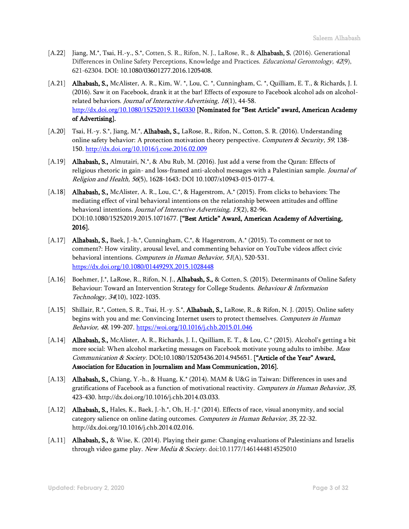- [A.22] Jiang, M.\*, Tsai, H.-y., S.\*, Cotten, S. R., Rifon, N. J., LaRose, R., & Alhabash, S. (2016). Generational Differences in Online Safety Perceptions, Knowledge and Practices. *Educational Gerontology*, 42(9), 621-62304. DOI: 10.1080/03601277.2016.1205408.
- [A.21] **Alhabash, S.,** McAlister, A. R., Kim, W. \*, Lou, C. \*, Cunningham, C. \*, Quilliam, E. T., & Richards, J. I. (2016). Saw it on Facebook, drank it at the bar! Effects of exposure to Facebook alcohol ads on alcoholrelated behaviors. Journal of Interactive Advertising, 16(1), 44-58. <http://dx.doi.org/10.1080/15252019.1160330> [Nominated for "Best Article" award, American Academy of Advertising].
- [A.20] Tsai, H.-y. S.\*, Jiang, M.\*, **Alhabash, S.,** LaRose, R., Rifon, N., Cotton, S. R. (2016). Understanding online safety behavior: A protection motivation theory perspective. Computers & Security, 59, 138-150. <http://dx.doi.org/10.1016/j.cose.2016.02.009>
- [A.19] **Alhabash, S.,** Almutairi, N.\*, & Abu Rub, M. (2016). Just add a verse from the Quran: Effects of religious rhetoric in gain- and loss-framed anti-alcohol messages with a Palestinian sample. Journal of Religion and Health, 56(5), 1628-1643: DOI 10.1007/s10943-015-0177-4.
- [A.18] Alhabash, S., McAlister, A. R., Lou, C.\*, & Hagerstrom, A.\* (2015). From clicks to behaviors: The mediating effect of viral behavioral intentions on the relationship between attitudes and offline behavioral intentions. Journal of Interactive Advertising, 15(2), 82-96. DOI:10.1080/15252019.2015.1071677. ["Best Article" Award, American Academy of Advertising, 2016].
- [A.17] **Alhabash, S.,** Baek, J.-h.\*, Cunningham, C.\*, & Hagerstrom, A.\* (2015). To comment or not to comment?: How virality, arousal level, and commenting behavior on YouTube videos affect civic behavioral intentions. Computers in Human Behavior, 51(A), 520-531. <https://dx.doi.org/10.1080/0144929X.2015.1028448>
- [A.16] Boehmer, J.\*, LaRose, R., Rifon, N. J., Alhabash, S., & Cotten, S. (2015). Determinants of Online Safety Behaviour: Toward an Intervention Strategy for College Students. Behaviour & Information Technology, 34(10), 1022-1035.
- [A.15] Shillair, R.\*, Cotten, S. R., Tsai, H.-y. S.\*, **Alhabash, S.**, LaRose, R., & Rifon, N. J. (2015). Online safety begins with you and me: Convincing Internet users to protect themselves. Computers in Human Behavior, 48, 199-207.<https://woi.org/10.1016/j.chb.2015.01.046>
- [A.14] **Alhabash, S.,** McAlister, A. R., Richards, J. I., Quilliam, E. T., & Lou, C.\* (2015). Alcohol's getting a bit more social: When alcohol marketing messages on Facebook motivate young adults to imbibe. Mass Communication & Society. DOI:10.1080/15205436.2014.945651. ["Article of the Year" Award, Association for Education in Journalism and Mass Communication, 2016].
- [A.13] **Alhabash, S.,** Chiang, Y.-h., & Huang, K.\* (2014). MAM & U&G in Taiwan: Differences in uses and gratifications of Facebook as a function of motivational reactivity. Computers in Human Behavior, 35, 423-430. [http://dx.doi.org/10.1016/j.chb.2014.03.033.](http://dx.doi.org/10.1016/j.chb.2014.03.033)
- [A.12] **Alhabash, S.,** Hales, K., Baek, J.-h.\*, Oh, H.-J.\* (2014). Effects of race, visual anonymity, and social category salience on online dating outcomes. Computers in Human Behavior, 35, 22-32. [http://dx.doi.org/10.1016/j.chb.2014.02.016.](http://dx.doi.org/10.1016/j.chb.2014.02.016)
- [A.11] **Alhabash, S., &** Wise, K. (2014). Playing their game: Changing evaluations of Palestinians and Israelis through video game play. New Media & Society. doi:10.1177/1461444814525010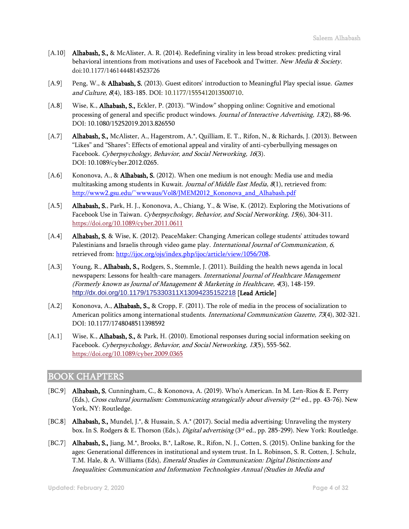- [A.10] Alhabash, S., & McAlister, A. R. (2014). Redefining virality in less broad strokes: predicting viral behavioral intentions from motivations and uses of Facebook and Twitter. New Media & Society. doi:10.1177/1461444814523726
- [A.9] Peng, W., & Alhabash, S. (2013). Guest editors' introduction to Meaningful Play special issue. Games and Culture, 8(4), 183-185. DOI: 10.1177/1555412013500710.
- [A.8] Wise, K., Alhabash, S., Eckler, P. (2013). "Window" shopping online: Cognitive and emotional processing of general and specific product windows. Journal of Interactive Advertising, 13(2), 88-96. DOI: 10.1080/15252019.2013.826550
- [A.7] Alhabash, S., McAlister, A., Hagerstrom, A.\*, Quilliam, E. T., Rifon, N., & Richards, J. (2013). Between "Likes" and "Shares": Effects of emotional appeal and virality of anti-cyberbullying messages on Facebook. Cyberpsychology, Behavior, and Social Networking, 16(3). DOI: 10.1089/cyber.2012.0265.
- [A.6] Kononova, A., & **Alhabash, S.** (2012). When one medium is not enough: Media use and media multitasking among students in Kuwait. Journal of Middle East Media, 8(1), retrieved from: [http://www2.gsu.edu/~wwwaus/Vol8/JMEM2012\\_Kononova\\_and\\_Alhabash.pdf](http://www2.gsu.edu/~wwwaus/Vol8/JMEM2012_Kononova_and_Alhabash.pdf)
- [A.5] Alhabash, S., Park, H. J., Kononova, A., Chiang, Y., & Wise, K. (2012). Exploring the Motivations of Facebook Use in Taiwan. Cyberpsychology, Behavior, and Social Networking, 15(6), 304-311. <https://doi.org/10.1089/cyber.2011.0611>
- [A.4] **Alhabash, S.** & Wise, K. (2012). PeaceMaker: Changing American college students' attitudes toward Palestinians and Israelis through video game play. International Journal of Communication, 6, retrieved from[: http://ijoc.org/ojs/index.php/ijoc/article/view/1056/708](http://ijoc.org/ojs/index.php/ijoc/article/view/1056/708).
- [A.3] Young, R., **Alhabash, S.,** Rodgers, S., Stemmle, J. (2011). Building the health news agenda in local newspapers: Lessons for health-care managers. International Journal of Healthcare Management (Formerly known as Journal of Management & Marketing in Healthcare, 4(3), 148-159. <http://dx.doi.org/10.1179/175330311X13094235152218> [Lead Article]
- [A.2] Kononova, A., **Alhabash, S.,** & Cropp, F. (2011). The role of media in the process of socialization to American politics among international students. International Communication Gazette, 73(4), 302-321. DOI: 10.1177/1748048511398592
- [A.1] Wise, K., **Alhabash, S.,** & Park, H. (2010). Emotional responses during social information seeking on Facebook. Cyberpsychology, Behavior, and Social Networking, 13(5), 555-562. <https://doi.org/10.1089/cyber.2009.0365>

## BOOK CHAPTERS

- [BC.9] Alhabash, S. Cunningham, C., & Kononova, A. (2019). Who's American. In M. Len-Rios & E. Perry (Eds.), *Cross cultural journalism: Communicating strategically about diversity* (2<sup>nd</sup> ed., pp. 43-76). New York, NY: Routledge.
- [BC.8] Alhabash, S., Mundel, J.\*, & Hussain, S. A.\* (2017). Social media advertising: Unraveling the mystery box. In S. Rodgers & E. Thorson (Eds.), *Digital advertising* (3<sup>rd</sup> ed., pp. 285-299). New York: Routledge.
- [BC.7] Alhabash, S., Jiang, M.\*, Brooks, B.\*, LaRose, R., Rifon, N. J., Cotten, S. (2015). Online banking for the ages: Generational differences in institutional and system trust. In L. Robinson, S. R. Cotten, J. Schulz, T.M. Hale, & A. Williams (Eds), *Emerald Studies in Communication: Digital Distinctions and* Inequalities: Communication and Information Technologies Annual (Studies in Media and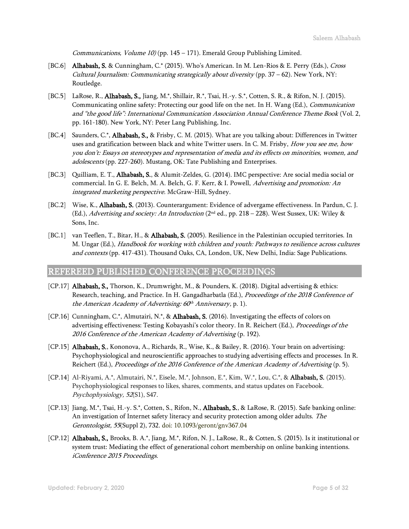Communications, Volume  $10$  (pp. 145 – 171). Emerald Group Publishing Limited.

- [BC.6] Alhabash, S. & Cunningham, C.\* (2015). Who's American. In M. Len-Rios & E. Perry (Eds.), Cross Cultural Journalism: Communicating strategically about diversity (pp.  $37 - 62$ ). New York, NY: Routledge.
- [BC.5] LaRose, R., Alhabash, S., Jiang, M.\*, Shillair, R.\*, Tsai, H.-y. S.\*, Cotten, S. R., & Rifon, N. J. (2015). Communicating online safety: Protecting our good life on the net. In H. Wang (Ed.), *Communication* and "the good life": International Communication Association Annual Conference Theme Book (Vol. 2, pp. 161-180). New York, NY: Peter Lang Publishing, Inc.
- [BC.4] Saunders, C.\*, **Alhabash, S.,** & Frisby, C. M. (2015). What are you talking about: Differences in Twitter uses and gratification between black and white Twitter users. In C. M. Frisby, *How you see me, how* you don't: Essays on stereotypes and representation of media and its effects on minorities, women, and adolescents (pp. 227-260). Mustang, OK: Tate Publishing and Enterprises.
- [BC.3] Quilliam, E. T., **Alhabash, S.**, & Alumit-Zeldes, G. (2014). IMC perspective: Are social media social or commercial. In G. E. Belch, M. A. Belch, G. F. Kerr, & I. Powell, Advertising and promotion: An integrated marketing perspective. McGraw-Hill, Sydney.
- [BC.2] Wise, K., **Alhabash, S.** (2013). Counterargument: Evidence of advergame effectiveness. In Pardun, C. J. (Ed.), Advertising and society: An Introduction ( $2<sup>nd</sup>$  ed., pp. 218 – 228). West Sussex, UK: Wiley & Sons, Inc.
- [BC.1] van Teeflen, T., Bitar, H., & Alhabash, S. (2005). Resilience in the Palestinian occupied territories. In M. Ungar (Ed.), Handbook for working with children and youth: Pathways to resilience across cultures and contexts (pp. 417-431). Thousand Oaks, CA, London, UK, New Delhi, India: Sage Publications.

## REFEREED PUBLISHED CONFERENCE PROCEEDINGS

- [CP.17] Alhabash, S., Thorson, K., Drumwright, M., & Pounders, K. (2018). Digital advertising & ethics: Research, teaching, and Practice. In H. Gangadharbatla (Ed.), Proceedings of the 2018 Conference of the American Academy of Advertising: 60<sup>th</sup> Anniversary, p. 1).
- [CP.16] Cunningham, C.\*, Almutairi, N.\*, & **Alhabash, S.** (2016). Investigating the effects of colors on advertising effectiveness: Testing Kobayashi's color theory. In R. Reichert (Ed.), Proceedings of the 2016 Conference of the American Academy of Advertising (p. 192).
- [CP.15] Alhabash, S., Kononova, A., Richards, R., Wise, K., & Bailey, R. (2016). Your brain on advertising: Psychophysiological and neuroscientific approaches to studying advertising effects and processes. In R. Reichert (Ed.), Proceedings of the 2016 Conference of the American Academy of Advertising (p. 5).
- [CP.14] Al-Riyami, A.\*, Almutairi, N.\*, Eisele, M.\*, Johnson, E.\*, Kim, W.\*, Lou, C.\*, & Alhabash, S. (2015). Psychophysiological responses to likes, shares, comments, and status updates on Facebook. Psychophysiology, 52(S1), S47.
- [CP.13] Jiang, M.\*, Tsai, H.-y. S.\*, Cotten, S., Rifon, N., Alhabash, S., & LaRose, R. (2015). Safe banking online: An investigation of Internet safety literacy and security protection among older adults. The Gerontologist, 55(Suppl 2), 732. doi: 10.1093/geront/gnv367.04
- [CP.12] Alhabash, S., Brooks, B. A.\*, Jiang, M.\*, Rifon, N. J., LaRose, R., & Cotten, S. (2015). Is it institutional or system trust: Mediating the effect of generational cohort membership on online banking intentions. iConference 2015 Proceedings.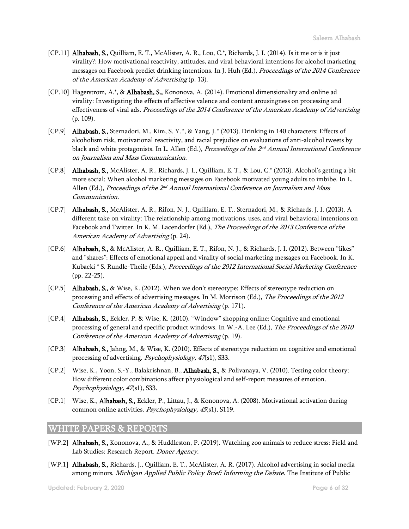- [CP.11] Alhabash, S., Quilliam, E. T., McAlister, A. R., Lou, C.\*, Richards, J. I. (2014). Is it me or is it just virality?: How motivational reactivity, attitudes, and viral behavioral intentions for alcohol marketing messages on Facebook predict drinking intentions. In J. Huh (Ed.), *Proceedings of the 2014 Conference* of the American Academy of Advertising (p. 13).
- [CP.10] Hagerstrom, A.\*, & Alhabash, S., Kononova, A. (2014). Emotional dimensionality and online ad virality: Investigating the effects of affective valence and content arousingness on processing and effectiveness of viral ads. Proceedings of the 2014 Conference of the American Academy of Advertising (p. 109).
- [CP.9] Alhabash, S., Sternadori, M., Kim, S. Y. \*, & Yang, J.\* (2013). Drinking in 140 characters: Effects of alcoholism risk, motivational reactivity, and racial prejudice on evaluations of anti-alcohol tweets by black and white protagonists. In L. Allen (Ed.), *Proceedings of the 2<sup>nd</sup> Annual International Conference* on Journalism and Mass Communication.
- [CP.8] Alhabash, S., McAlister, A. R., Richards, J. I., Quilliam, E. T., & Lou, C.\* (2013). Alcohol's getting a bit more social: When alcohol marketing messages on Facebook motivated young adults to imbibe. In L. Allen (Ed.), *Proceedings of the 2<sup>nd</sup> Annual International Conference on Journalism and Mass* Communication.
- [CP.7] Alhabash, S., McAlister, A. R., Rifon, N. J., Quilliam, E. T., Sternadori, M., & Richards, J. I. (2013). A different take on virality: The relationship among motivations, uses, and viral behavioral intentions on Facebook and Twitter. In K. M. Lacendorfer (Ed.), The Proceedings of the 2013 Conference of the American Academy of Advertising (p. 24).
- [CP.6] Alhabash, S., & McAlister, A. R., Quilliam, E. T., Rifon, N. J., & Richards, J. I. (2012). Between "likes" and "shares": Effects of emotional appeal and virality of social marketing messages on Facebook. In K. Kubacki \* S. Rundle-Theile (Eds.), Proceedings of the 2012 International Social Marketing Conference (pp. 22-25).
- [CP.5] Alhabash, S., & Wise, K. (2012). When we don't stereotype: Effects of stereotype reduction on processing and effects of advertising messages. In M. Morrison (Ed.), The Proceedings of the 2012 Conference of the American Academy of Advertising (p. 171).
- [CP.4] Alhabash, S., Eckler, P. & Wise, K. (2010). "Window" shopping online: Cognitive and emotional processing of general and specific product windows. In W.-A. Lee (Ed.), The Proceedings of the 2010 Conference of the American Academy of Advertising (p. 19).
- [CP.3] **Alhabash, S.,** Jahng, M., & Wise, K. (2010). Effects of stereotype reduction on cognitive and emotional processing of advertising. Psychophysiology, 47(s1), S33.
- [CP.2] Wise, K., Yoon, S.-Y., Balakrishnan, B., Alhabash, S., & Polivanaya, V. (2010). Testing color theory: How different color combinations affect physiological and self-report measures of emotion. Psychophysiology, 47(s1), S33.
- [CP.1] Wise, K., **Alhabash, S.,** Eckler, P., Littau, J., & Kononova, A. (2008). Motivational activation during common online activities. Psychophysiology, 45(s1), S119.

## WHITE PAPERS & REPORTS

- [WP.2] Alhabash, S., Kononova, A., & Huddleston, P. (2019). Watching zoo animals to reduce stress: Field and Lab Studies: Research Report. Doner Agency.
- [WP.1] Alhabash, S., Richards, J., Quilliam, E. T., McAlister, A. R. (2017). Alcohol advertising in social media among minors. Michigan Applied Public Policy Brief: Informing the Debate. The Institute of Public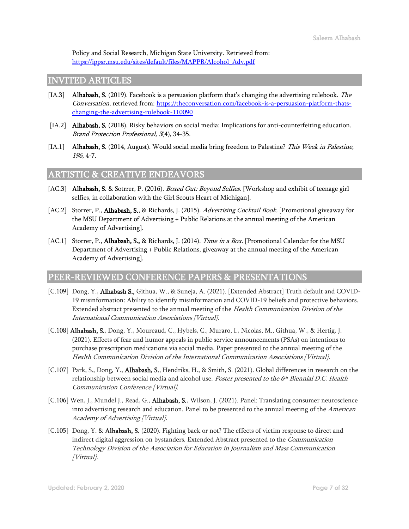Policy and Social Research, Michigan State University. Retrieved from: [https://ippsr.msu.edu/sites/default/files/MAPPR/Alcohol\\_Adv.pdf](https://ippsr.msu.edu/sites/default/files/MAPPR/Alcohol_Adv.pdf)

## INVITED ARTICLES

- [IA.3] **Alhabash, S.** (2019). Facebook is a persuasion platform that's changing the advertising rulebook. The Conversation, retrieved from: [https://theconversation.com/facebook-is-a-persuasion-platform-thats](https://theconversation.com/facebook-is-a-persuasion-platform-thats-changing-the-advertising-rulebook-110090)[changing-the-advertising-rulebook-110090](https://theconversation.com/facebook-is-a-persuasion-platform-thats-changing-the-advertising-rulebook-110090)
- [IA.2] **Alhabash, S.** (2018). Risky behaviors on social media: Implications for anti-counterfeiting education. Brand Protection Professional, 3(4), 34-35.
- [IA.1] **Alhabash, S.** (2014, August). Would social media bring freedom to Palestine? This Week in Palestine, 196, 4-7.

## ARTISTIC & CREATIVE ENDEAVORS

- [AC.3] Alhabash, S. & Sotrrer, P. (2016). Boxed Out: Beyond Selfies. [Workshop and exhibit of teenage girl selfies, in collaboration with the Girl Scouts Heart of Michigan].
- [AC.2] Storrer, P., Alhabash, S., & Richards, J. (2015). Advertising Cocktail Book. [Promotional giveaway for the MSU Department of Advertising + Public Relations at the annual meeting of the American Academy of Advertising].
- [AC.1] Storrer, P., **Alhabash, S.**, & Richards, J. (2014). *Time in a Box.* [Promotional Calendar for the MSU Department of Advertising + Public Relations, giveaway at the annual meeting of the American Academy of Advertising].

## PEER-REVIEWED CONFERENCE PAPERS & PRESENTATIONS

- [C.109] Dong, Y., Alhabash S., Githua, W., & Suneja, A. (2021). [Extended Abstract] Truth default and COVID-19 misinformation: Ability to identify misinformation and COVID-19 beliefs and protective behaviors. Extended abstract presented to the annual meeting of the Health Communication Division of the International Communication Associations [Virtual].
- [C.108] Alhabash, S., Dong, Y., Moureaud, C., Hybels, C., Muraro, I., Nicolas, M., Githua, W., & Hertig, J. (2021). Effects of fear and humor appeals in public service announcements (PSAs) on intentions to purchase prescription medications via social media. Paper presented to the annual meeting of the Health Communication Division of the International Communication Associations [Virtual].
- [C.107] Park, S., Dong, Y., **Alhabash, S.**, Hendriks, H., & Smith, S. (2021). Global differences in research on the relationship between social media and alcohol use. *Poster presented to the 6<sup>th</sup> Biennial D.C. Health* Communication Conference [Virtual].
- [C.106] Wen, J., Mundel J., Read, G., Alhabash, S., Wilson, J. (2021). Panel: Translating consumer neuroscience into advertising research and education. Panel to be presented to the annual meeting of the American Academy of Advertising [Virtual].
- [C.105] Dong, Y. & **Alhabash, S.** (2020). Fighting back or not? The effects of victim response to direct and indirect digital aggression on bystanders. Extended Abstract presented to the *Communication* Technology Division of the Association for Education in Journalism and Mass Communication [Virtual].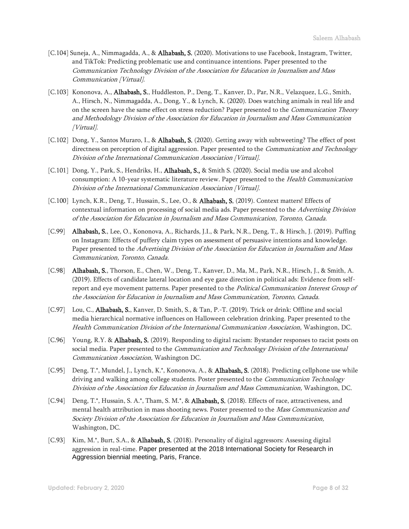- [C.104] Suneja, A., Nimmagadda, A., & Alhabash, S. (2020). Motivations to use Facebook, Instagram, Twitter, and TikTok: Predicting problematic use and continuance intentions. Paper presented to the Communication Technology Division of the Association for Education in Journalism and Mass Communication [Virtual].
- [C.103] Kononova, A., Alhabash, S., Huddleston, P., Deng, T., Kanver, D., Par, N.R., Velazquez, L.G., Smith, A., Hirsch, N., Nimmagadda, A., Dong, Y., & Lynch, K. (2020). Does watching animals in real life and on the screen have the same effect on stress reduction? Paper presented to the *Communication Theory* and Methodology Division of the Association for Education in Journalism and Mass Communication [Virtual].
- [C.102] Dong, Y., Santos Muraro, I., & **Alhabash, S.** (2020). Getting away with subtweeting? The effect of post directness on perception of digital aggression. Paper presented to the *Communication and Technology* Division of the International Communication Association [Virtual].
- [C.101] Dong, Y., Park, S., Hendriks, H., **Alhabash, S.,** & Smith S. (2020). Social media use and alcohol consumption: A 10-year systematic literature review. Paper presented to the *Health Communication* Division of the International Communication Association [Virtual].
- [C.100] Lynch, K.R., Deng, T., Hussain, S., Lee, O., & **Alhabash, S.** (2019). Context matters! Effects of contextual information on processing of social media ads. Paper presented to the Advertising Division of the Association for Education in Journalism and Mass Communication, Toronto, Canada.
- [C.99] Alhabash, S., Lee, O., Kononova, A., Richards, J.I., & Park, N.R., Deng, T., & Hirsch, J. (2019). Puffing on Instagram: Effects of puffery claim types on assessment of persuasive intentions and knowledge. Paper presented to the Advertising Division of the Association for Education in Journalism and Mass Communication, Toronto, Canada.
- [C.98] Alhabash, S., Thorson, E., Chen, W., Deng, T., Kanver, D., Ma, M., Park, N.R., Hirsch, J., & Smith, A. (2019). Effects of candidate lateral location and eye gaze direction in political ads: Evidence from selfreport and eye movement patterns. Paper presented to the *Political Communication Interest Group of* the Association for Education in Journalism and Mass Communication, Toronto, Canada.
- [C.97] Lou, C., Alhabash, S., Kanver, D. Smith, S., & Tan, P.-T. (2019). Trick or drink: Offline and social media hierarchical normative influences on Halloween celebration drinking. Paper presented to the Health Communication Division of the International Communication Association, Washington, DC.
- [C.96] Young, R.Y. & **Alhabash, S.** (2019). Responding to digital racism: Bystander responses to racist posts on social media. Paper presented to the *Communication and Technology Division of the International* Communication Association, Washington DC.
- [C.95] Deng, T.\*, Mundel, J., Lynch, K.\*, Kononova, A., & Alhabash, S. (2018). Predicting cellphone use while driving and walking among college students. Poster presented to the *Communication Technology* Division of the Association for Education in Journalism and Mass Communication, Washington, DC.
- [C.94] Deng, T.\*, Hussain, S. A.\*, Tham, S. M.\*, & **Alhabash, S.** (2018). Effects of race, attractiveness, and mental health attribution in mass shooting news. Poster presented to the Mass Communication and Society Division of the Association for Education in Journalism and Mass Communication, Washington, DC.
- [C.93] Kim, M.\*, Burt, S.A., & Alhabash, S. (2018). Personality of digital aggressors: Assessing digital aggression in real-time. Paper presented at the 2018 International Society for Research in Aggression biennial meeting, Paris, France.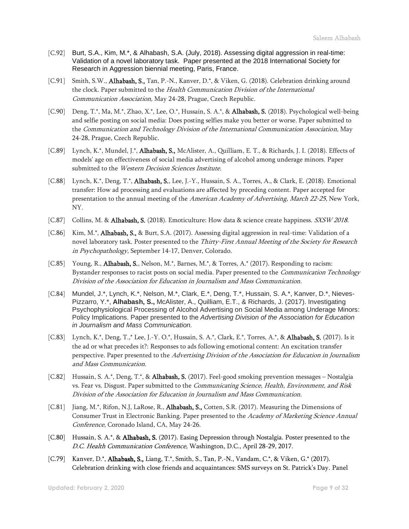- [C.92] Burt, S.A., Kim, M.\*, & Alhabash, S.A. (July, 2018). Assessing digital aggression in real-time: Validation of a novel laboratory task. Paper presented at the 2018 International Society for Research in Aggression biennial meeting, Paris, France.
- [C.91] Smith, S.W., **Alhabash, S.**, Tan, P.-N., Kanver, D.\*, & Viken, G. (2018). Celebration drinking around the clock. Paper submitted to the Health Communication Division of the International Communication Association, May 24-28, Prague, Czech Republic.
- [C.90] Deng, T.\*, Ma, M.\*, Zhao, X.\*, Lee, O.\*, Hussain, S. A.\*, & Alhabash, S. (2018). Psychological well-being and selfie posting on social media: Does posting selfies make you better or worse. Paper submitted to the Communication and Technology Division of the International Communication Association, May 24-28, Prague, Czech Republic.
- [C.89] Lynch, K.\*, Mundel, J.\*, **Alhabash, S.**, McAlister, A., Quilliam, E. T., & Richards, J. I. (2018). Effects of models' age on effectiveness of social media advertising of alcohol among underage minors. Paper submitted to the Western Decision Sciences Institute.
- [C.88] Lynch, K.\*, Deng, T.\*, Alhabash, S., Lee, J.-Y., Hussain, S. A., Torres, A., & Clark, E. (2018). Emotional transfer: How ad processing and evaluations are affected by preceding content. Paper accepted for presentation to the annual meeting of the American Academy of Advertising, March 22-25, New York, NY.
- [C.87] Collins, M. & **Alhabash, S.** (2018). Emoticulture: How data & science create happiness. *SXSW 2018.*
- [C.86] Kim, M.\*, **Alhabash, S.**, & Burt, S.A. (2017). Assessing digital aggression in real-time: Validation of a novel laboratory task. Poster presented to the Thirty-First Annual Meeting of the Society for Research in Psychopathology, September 14-17, Denver, Colorado.
- [C.85] Young, R., **Alhabash, S.**, Nelson, M.\*, Barnes, M.\*, & Torres, A.\* (2017). Responding to racism: Bystander responses to racist posts on social media. Paper presented to the *Communication Technology* Division of the Association for Education in Journalism and Mass Communication.
- [C.84] Mundel, J.\*, Lynch, K.\*, Nelson, M.\*, Clark, E.\*, Deng, T.\*, Hussain, S. A.\*, Kanver, D.\*, Nieves-Pizzarro, Y.\*, **Alhabash, S.,** McAlister, A., Quilliam, E.T., & Richards, J. (2017). Investigating Psychophysiological Processing of Alcohol Advertising on Social Media among Underage Minors: Policy Implications. Paper presented to the *Advertising Division of the Association for Education in Journalism and Mass Communication.*
- [C.83] Lynch, K.\*, Deng, T.,\* Lee, J.-Y. O.\*, Hussain, S. A.\*, Clark, E.\*, Torres, A.\*, & Alhabash, S. (2017). Is it the ad or what precedes it?: Responses to ads following emotional content: An excitation transfer perspective. Paper presented to the Advertising Division of the Association for Education in Journalism and Mass Communication.
- [C.82] Hussain, S. A.\*, Deng, T.\*, & Alhabash, S. (2017). Feel-good smoking prevention messages Nostalgia vs. Fear vs. Disgust. Paper submitted to the Communicating Science, Health, Environment, and Risk Division of the Association for Education in Journalism and Mass Communication.
- [C.81] Jiang, M.\*, Rifon, N.J, LaRose, R., Alhabash, S., Cotten, S.R. (2017). Measuring the Dimensions of Consumer Trust in Electronic Banking. Paper presented to the Academy of Marketing Science Annual Conference, Coronado Island, CA, May 24-26.
- [C.80] Hussain, S. A.\*, & Alhabash, S. (2017). Easing Depression through Nostalgia. Poster presented to the D.C. Health Communication Conference, Washington, D.C., April 28-29, 2017.
- [C.79] Kanver, D.\*, **Alhabash, S.,** Liang, T.\*, Smith, S., Tan, P.-N., Vandam, C.\*, & Viken, G.\* (2017). Celebration drinking with close friends and acquaintances: SMS surveys on St. Patrick's Day. Panel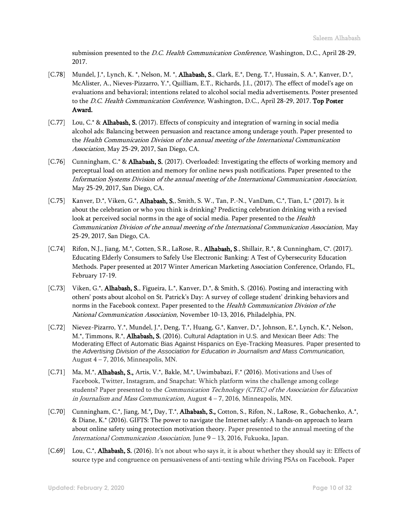submission presented to the *D.C. Health Communication Conference*, Washington, D.C., April 28-29, 2017.

- [C.78] Mundel, J.\*, Lynch, K. \*, Nelson, M. \*, Alhabash, S., Clark, E.\*, Deng, T.\*, Hussain, S. A.\*, Kanver, D.\*, McAlister, A., Nieves-Pizzarro, Y.\*, Quilliam, E.T., Richards, J.I., (2017). The effect of model's age on evaluations and behavioral; intentions related to alcohol social media advertisements. Poster presented to the D.C. Health Communication Conference, Washington, D.C., April 28-29, 2017. Top Poster Award.
- [C.77] Lou, C.\* & Alhabash, S. (2017). Effects of conspicuity and integration of warning in social media alcohol ads: Balancing between persuasion and reactance among underage youth. Paper presented to the Health Communication Division of the annual meeting of the International Communication Association, May 25-29, 2017, San Diego, CA.
- [C.76] Cunningham, C.\* & Alhabash, S. (2017). Overloaded: Investigating the effects of working memory and perceptual load on attention and memory for online news push notifications. Paper presented to the Information Systems Division of the annual meeting of the International Communication Association, May 25-29, 2017, San Diego, CA.
- [C.75] Kanver, D.\*, Viken, G.\*, Alhabash, S., Smith, S. W., Tan, P.-N., VanDam, C.\*, Tian, L.\* (2017). Is it about the celebration or who you think is drinking? Predicting celebration drinking with a revised look at perceived social norms in the age of social media. Paper presented to the *Health* Communication Division of the annual meeting of the International Communication Association, May 25-29, 2017, San Diego, CA.
- [C.74] Rifon, N.J., Jiang, M.\*, Cotten, S.R., LaRose, R., Alhabash, S., Shillair, R.\*, & Cunningham, C\*. (2017). Educating Elderly Consumers to Safely Use Electronic Banking: A Test of Cybersecurity Education Methods. Paper presented at 2017 Winter American Marketing Association Conference, Orlando, FL, February 17-19.
- [C.73] Viken, G.\*, Alhabash, S., Figueira, L.\*, Kanver, D.\*, & Smith, S. (2016). Posting and interacting with others' posts about alcohol on St. Patrick's Day: A survey of college student' drinking behaviors and norms in the Facebook context. Paper presented to the Health Communication Division of the National Communication Association, November 10-13, 2016, Philadelphia, PN.
- [C.72] Nievez-Pizarro, Y.\*, Mundel, J.\*, Deng, T.\*, Huang, G.\*, Kanver, D.\*, Johnson, E.\*, Lynch, K.\*, Nelson, M.\*, Timmons, R.\*, Alhabash, S. (2016). Cultural Adaptation in U.S. and Mexican Beer Ads: The Moderating Effect of Automatic Bias Against Hispanics on Eye-Tracking Measures. Paper presented to the *Advertising Division of the Association for Education in Journalism and Mass Communication,* August 4 – 7, 2016, Minneapolis, MN.
- [C.71] Ma, M.\*, Alhabash, S., Artis, V.\*, Bakle, M.\*, Uwimbabazi, F.\* (2016). Motivations and Uses of Facebook, Twitter, Instagram, and Snapchat: Which platform wins the challenge among college students? Paper presented to the *Communication Technology (CTEC)* of the Association for Education in Journalism and Mass Communication, August  $4 - 7$ , 2016, Minneapolis, MN.
- [C.70] Cunningham, C.\*, Jiang, M.\*, Day, T.\*, Alhabash, S., Cotton, S., Rifon, N., LaRose, R., Gobachenko, A.\*, & Diane, K.\* (2016). GIFTS: The power to navigate the Internet safely: A hands-on approach to learn about online safety using protection motivation theory. Paper presented to the annual meeting of the International Communication Association, June 9 – 13, 2016, Fukuoka, Japan.
- [C.69] Lou, C.\*, **Alhabash, S.** (2016). It's not about who says it, it is about whether they should say it: Effects of source type and congruence on persuasiveness of anti-texting while driving PSAs on Facebook. Paper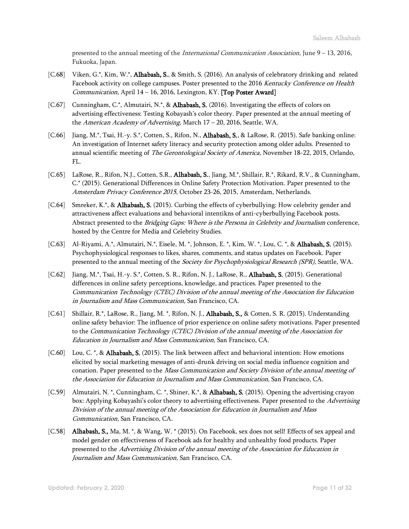presented to the annual meeting of the International Communication Association, June 9 – 13, 2016, Fukuoka, Japan.

- [C.68] Viken, G.\*, Kim, W.\*, **Alhabash, S.**, & Smith, S. (2016). An analysis of celebratory drinking and related Facebook activity on college campuses. Poster presented to the 2016 Kentucky Conference on Health Communication, April  $14 - 16$ , 2016, Lexington, KY. [Top Poster Award]
- [C.67] Cunningham, C.\*, Almutairi, N.\*, & Alhabash, S. (2016). Investigating the effects of colors on advertising effectiveness: Testing Kobayash's color theory. Paper presented at the annual meeting of the American Academy of Advertising, March 17 - 20, 2016, Seattle, WA.
- [C.66] Jiang, M.\*, Tsai, H.-y. S.\*, Cotten, S., Rifon, N., **Alhabash, S.**, & LaRose, R. (2015). Safe banking online: An investigation of Internet safety literacy and security protection among older adults. Presented to annual scientific meeting of The Gerontological Society of America, November 18-22, 2015, Orlando, FL.
- [C.65] LaRose, R., Rifon, N.J., Cotten, S.R., **Alhabash, S.**, Jiang, M.\*, Shillair, R.\*, Rikard, R.V., & Cunningham, C.\* (2015). Generational Differences in Online Safety Protection Motivation. Paper presented to the Amsterdam Privacy Conference 2015, October 23-26, 2015, Amsterdam, Netherlands.
- [C.64] Smreker, K.\*, & **Alhabash, S.** (2015). Curbing the effects of cyberbullying: How celebrity gender and attractiveness affect evaluations and behavioral intentikns of anti-cyberbullying Facebook posts. Abstract presented to the Bridging Gaps: Where is the Persona in Celebrity and Journalism conference, hosted by the Centre for Media and Celebrity Studies.
- [C.63] Al-Riyami, A.\*, Almutairi, N.\*, Eisele, M.\*, Johnson, E.\*, Kim, W.\*, Lou, C.\*, & Alhabash, S. (2015). Psychophysiological responses to likes, shares, comments, and status updates on Facebook. Paper presented to the annual meeting of the Society for Psychophysiological Research (SPR), Seattle, WA.
- [C.62] Jiang, M.\*, Tsai, H.-y. S.\*, Cotten, S. R., Rifon, N. J., LaRose, R., Alhabash, S. (2015). Generational differences in online safety perceptions, knowledge, and practices. Paper presented to the Communication Technology (CTEC) Division of the annual meeting of the Association for Education in Journalism and Mass Communication, San Francisco, CA.
- [C.61] Shillair, R.\*, LaRose, R., Jiang, M. \*, Rifon, N. J., Alhabash, S., & Cotten, S. R. (2015). Understanding online safety behavior: The influence of prior experience on online safety motivations. Paper presented to the Communication Technology (CTEC) Division of the annual meeting of the Association for Education in Journalism and Mass Communication, San Francisco, CA.
- [C.60] Lou, C. \*, & **Alhabash, S.** (2015). The link between affect and behavioral intention: How emotions elicited by social marketing messages of anti-drunk driving on social media influence cognition and conation. Paper presented to the Mass Communication and Society Division of the annual meeting of the Association for Education in Journalism and Mass Communication, San Francisco, CA.
- [C.59] Almutairi, N. \*, Cunningham, C. \*, Shiner, K.\*, & **Alhabash, S.** (2015). Opening the advertising crayon box: Applying Kobayashi's color theory to advertising effectiveness. Paper presented to the Advertising Division of the annual meeting of the Association for Education in Journalism and Mass Communication, San Francisco, CA.
- [C.58] Alhabash, S., Ma, M. \*, & Wang, W. \* (2015). On Facebook, sex does not sell! Effects of sex appeal and model gender on effectiveness of Facebook ads for healthy and unhealthy food products. Paper presented to the Advertising Division of the annual meeting of the Association for Education in Journalism and Mass Communication, San Francisco, CA.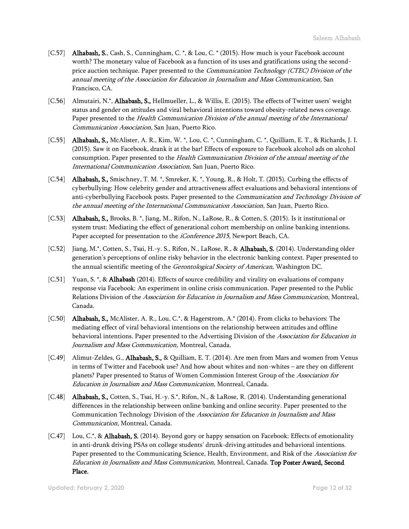- [C.57] Alhabash, S., Cash, S., Cunningham, C. \*, & Lou, C. \* (2015). How much is your Facebook account worth? The monetary value of Facebook as a function of its uses and gratifications using the secondprice auction technique. Paper presented to the *Communication Technology (CTEC) Division of the* annual meeting of the Association for Education in Journalism and Mass Communication, San Francisco, CA.
- [C.56] Almutairi, N.\*, **Alhabash, S.**, Hellmueller, L., & Willis, E. (2015). The effects of Twitter users' weight status and gender on attitudes and viral behavioral intentions toward obesity-related news coverage. Paper presented to the Health Communication Division of the annual meeting of the International Communication Association, San Juan, Puerto Rico.
- [C.55] **Alhabash, S.,** McAlister, A. R., Kim, W. \*, Lou, C. \*, Cunningham, C. \*, Quilliam, E. T., & Richards, J. I. (2015). Saw it on Facebook, drank it at the bar! Effects of exposure to Facebook alcohol ads on alcohol consumption. Paper presented to the Health Communication Division of the annual meeting of the International Communication Association, San Juan, Puerto Rico.
- [C.54] **Alhabash, S.**, Smischney, T. M. \*, Smreker, K. \*, Young, R., & Holt, T. (2015). Curbing the effects of cyberbullying: How celebrity gender and attractiveness affect evaluations and behavioral intentions of anti-cyberbullying Facebook posts. Paper presented to the *Communication and Technology Division of* the annual meeting of the International Communication Association, San Juan, Puerto Rico.
- [C.53] **Alhabash, S.,** Brooks, B. \*, Jiang, M., Rifon, N., LaRose, R., & Cotten, S. (2015). Is it institutional or system trust: Mediating the effect of generational cohort membership on online banking intentions. Paper accepted for presentation to the *iConference 2015*, Newport Beach, CA.
- [C.52] Jiang, M.\*, Cotten, S., Tsai, H.-y. S., Rifon, N., LaRose, R., & Alhabash, S. (2014). Understanding older generation's perceptions of online risky behavior in the electronic banking context. Paper presented to the annual scientific meeting of the *Gerontological Society of American*, Washington DC.
- [C.51] Yuan, S. \*, & Alhabash (2014). Effects of source credibility and virality on evaluations of company response via Facebook: An experiment in online crisis communication. Paper presented to the Public Relations Division of the Association for Education in Journalism and Mass Communication, Montreal, Canada.
- [C.50] Alhabash, S., McAlister, A. R., Lou, C.\*, & Hagerstrom, A.\* (2014). From clicks to behaviors: The mediating effect of viral behavioral intentions on the relationship between attitudes and offline behavioral intentions. Paper presented to the Advertising Division of the Association for Education in Journalism and Mass Communication, Montreal, Canada.
- [C.49] Alimut-Zeldes, G., Alhabash, S., & Quilliam, E. T. (2014). Are men from Mars and women from Venus in terms of Twitter and Facebook use? And how about whites and non-whites – are they on different planets? Paper presented to Status of Women Commission Interest Group of the Association for Education in Journalism and Mass Communication, Montreal, Canada.
- [C.48] Alhabash, S., Cotten, S., Tsai, H.-y. S.\*, Rifon, N., & LaRose, R. (2014). Understanding generational differences in the relationship between online banking and online security. Paper presented to the Communication Technology Division of the Association for Education in Journalism and Mass Communication, Montreal, Canada.
- [C.47] Lou, C.\*, & **Alhabash, S.** (2014). Beyond gory or happy sensation on Facebook: Effects of emotionality in anti-drunk driving PSAs on college students' drunk-driving attitudes and behavioral intentions. Paper presented to the Communicating Science, Health, Environment, and Risk of the Association for Education in Journalism and Mass Communication, Montreal, Canada. Top Poster Award, Second Place.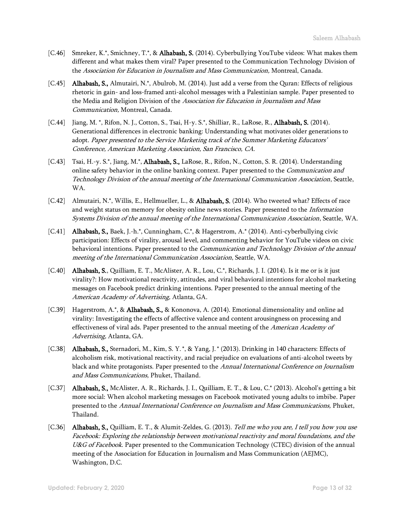- [C.46] Smreker, K.\*, Smichney, T.\*, & Alhabash, S. (2014). Cyberbullying YouTube videos: What makes them different and what makes them viral? Paper presented to the Communication Technology Division of the Association for Education in Journalism and Mass Communication, Montreal, Canada.
- [C.45] **Alhabash, S.,** Almutairi, N.\*, Abulrob, M. (2014). Just add a verse from the Quran: Effects of religious rhetoric in gain- and loss-framed anti-alcohol messages with a Palestinian sample. Paper presented to the Media and Religion Division of the Association for Education in Journalism and Mass Communication, Montreal, Canada.
- [C.44] Jiang, M. \*, Rifon, N. J., Cotton, S., Tsai, H-y. S.\*, Shilliar, R., LaRose, R., Alhabash, S. (2014). Generational differences in electronic banking: Understanding what motivates older generations to adopt. Paper presented to the Service Marketing track of the Summer Marketing Educators' Conference, American Marketing Association, San Francisco, CA.
- [C.43] Tsai, H.-y. S.\*, Jiang, M.\*, **Alhabash, S.,** LaRose, R., Rifon, N., Cotton, S. R. (2014). Understanding online safety behavior in the online banking context. Paper presented to the *Communication and* Technology Division of the annual meeting of the International Communication Association, Seattle, WA.
- [C.42] Almutairi, N.\*, Willis, E., Hellmueller, L., & Alhabash, S. (2014). Who tweeted what? Effects of race and weight status on memory for obesity online news stories. Paper presented to the *Information* Systems Division of the annual meeting of the International Communication Association, Seattle, WA.
- [C.41] Alhabash, S., Baek, J.-h.\*, Cunningham, C.\*, & Hagerstrom, A.\* (2014). Anti-cyberbullying civic participation: Effects of virality, arousal level, and commenting behavior for YouTube videos on civic behavioral intentions. Paper presented to the *Communication and Technology Division of the annual* meeting of the International Communication Association, Seattle, WA.
- [C.40] Alhabash, S., Quilliam, E. T., McAlister, A. R., Lou, C.\*, Richards, J. I. (2014). Is it me or is it just virality?: How motivational reactivity, attitudes, and viral behavioral intentions for alcohol marketing messages on Facebook predict drinking intentions. Paper presented to the annual meeting of the American Academy of Advertising, Atlanta, GA.
- [C.39] Hagerstrom, A.\*, & Alhabash, S., & Kononova, A. (2014). Emotional dimensionality and online ad virality: Investigating the effects of affective valence and content arousingness on processing and effectiveness of viral ads. Paper presented to the annual meeting of the American Academy of Advertising, Atlanta, GA.
- [C.38] Alhabash, S., Sternadori, M., Kim, S. Y. \*, & Yang, J.\* (2013). Drinking in 140 characters: Effects of alcoholism risk, motivational reactivity, and racial prejudice on evaluations of anti-alcohol tweets by black and white protagonists. Paper presented to the Annual International Conference on Journalism and Mass Communications, Phuket, Thailand.
- [C.37] **Alhabash, S.,** McAlister, A. R., Richards, J. I., Quilliam, E. T., & Lou, C.\* (2013). Alcohol's getting a bit more social: When alcohol marketing messages on Facebook motivated young adults to imbibe. Paper presented to the Annual International Conference on Journalism and Mass Communications, Phuket, Thailand.
- [C.36] Alhabash, S., Quilliam, E. T., & Alumit-Zeldes, G. (2013). Tell me who you are, I tell you how you use Facebook: Exploring the relationship between motivational reactivity and moral foundations, and the U&G of Facebook. Paper presented to the Communication Technology (CTEC) division of the annual meeting of the Association for Education in Journalism and Mass Communication (AEJMC), Washington, D.C.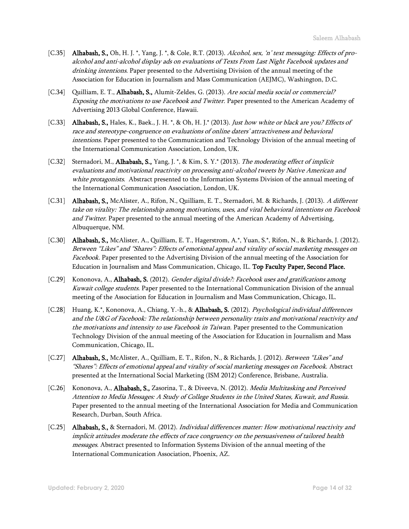- [C.35] Alhabash, S., Oh, H. J. \*, Yang, J. \*, & Cole, R.T. (2013). Alcohol, sex, 'n' text messaging: Effects of proalcohol and anti-alcohol display ads on evaluations of Texts From Last Night Facebook updates and drinking intentions. Paper presented to the Advertising Division of the annual meeting of the Association for Education in Journalism and Mass Communication (AEJMC), Washington, D.C.
- [C.34] Quilliam, E. T., Alhabash, S., Alumit-Zeldes, G. (2013). Are social media social or commercial? Exposing the motivations to use Facebook and Twitter. Paper presented to the American Academy of Advertising 2013 Global Conference, Hawaii.
- [C.33] Alhabash, S., Hales, K., Baek., J. H. \*, & Oh, H. J.\* (2013). Just how white or black are you? Effects of race and stereotype-congruence on evaluations of online daters' attractiveness and behavioral intentions. Paper presented to the Communication and Technology Division of the annual meeting of the International Communication Association, London, UK.
- [C.32] Sternadori, M., **Alhabash, S.,** Yang, J. \*, & Kim, S. Y.\* (2013). The moderating effect of implicit evaluations and motivational reactivity on processing anti-alcohol tweets by Native American and white protagonists. Abstract presented to the Information Systems Division of the annual meeting of the International Communication Association, London, UK.
- [C.31] Alhabash, S., McAlister, A., Rifon, N., Quilliam, E. T., Sternadori, M. & Richards, J. (2013). A different take on virality: The relationship among motivations, uses, and viral behavioral intentions on Facebook and Twitter. Paper presented to the annual meeting of the American Academy of Advertising, Albuquerque, NM.
- [C.30] Alhabash, S., McAlister, A., Quilliam, E. T., Hagerstrom, A.\*, Yuan, S.\*, Rifon, N., & Richards, J. (2012). Between "Likes" and "Shares": Effects of emotional appeal and virality of social marketing messages on Facebook. Paper presented to the Advertising Division of the annual meeting of the Association for Education in Journalism and Mass Communication, Chicago, IL. Top Faculty Paper, Second Place.
- [C.29] Kononova, A., Alhabash, S. (2012). Gender digital divide?: Facebook uses and gratifications among Kuwait college students. Paper presented to the International Communication Division of the annual meeting of the Association for Education in Journalism and Mass Communication, Chicago, IL.
- [C.28] Huang, K.\*, Kononova, A., Chiang, Y.-h., & **Alhabash, S.** (2012). *Psychological individual differences* and the U&G of Facebook: The relationship between personality traits and motivational reactivity and the motivations and intensity to use Facebook in Taiwan. Paper presented to the Communication Technology Division of the annual meeting of the Association for Education in Journalism and Mass Communication, Chicago, IL.
- [C.27] Alhabash, S., McAlister, A., Quilliam, E. T., Rifon, N., & Richards, J. (2012). Between "Likes" and "Shares": Effects of emotional appeal and virality of social marketing messages on Facebook. Abstract presented at the International Social Marketing (ISM 2012) Conference, Brisbane, Australia.
- [C.26] Kononova, A., **Alhabash, S.,** Zasorina, T., & Diveeva, N. (2012). *Media Multitasking and Perceived* Attention to Media Messages: A Study of College Students in the United States, Kuwait, and Russia. Paper presented to the annual meeting of the International Association for Media and Communication Research, Durban, South Africa.
- [C.25] Alhabash, S., & Sternadori, M. (2012). Individual differences matter: How motivational reactivity and implicit attitudes moderate the effects of race congruency on the persuasiveness of tailored health messages. Abstract presented to Information Systems Division of the annual meeting of the International Communication Association, Phoenix, AZ.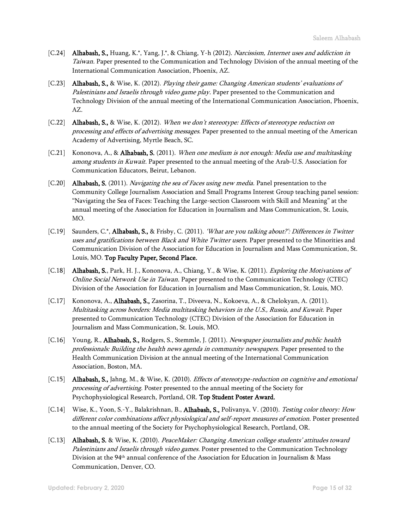- [C.24] Alhabash, S., Huang, K.\*, Yang, J.\*, & Chiang, Y-h (2012). Narcissism, Internet uses and addiction in Taiwan. Paper presented to the Communication and Technology Division of the annual meeting of the International Communication Association, Phoenix, AZ.
- [C.23] **Alhabash, S.,** & Wise, K. (2012). Playing their game: Changing American students' evaluations of Palestinians and Israelis through video game play. Paper presented to the Communication and Technology Division of the annual meeting of the International Communication Association, Phoenix, AZ.
- [C.22] **Alhabash, S.,** & Wise, K. (2012). When we don't stereotype: Effects of stereotype reduction on processing and effects of advertising messages. Paper presented to the annual meeting of the American Academy of Advertising, Myrtle Beach, SC.
- [C.21] Kononova, A., & **Alhabash, S.** (2011). When one medium is not enough: Media use and multitasking among students in Kuwait. Paper presented to the annual meeting of the Arab-U.S. Association for Communication Educators, Beirut, Lebanon.
- [C.20] **Alhabash, S.** (2011). *Navigating the sea of Faces using new media*. Panel presentation to the Community College Journalism Association and Small Programs Interest Group teaching panel session: "Navigating the Sea of Faces: Teaching the Large-section Classroom with Skill and Meaning" at the annual meeting of the Association for Education in Journalism and Mass Communication, St. Louis, MO.
- [C.19] Saunders, C.\*, Alhabash, S., & Frisby, C. (2011). 'What are you talking about?': Differences in Twitter uses and gratifications between Black and White Twitter users. Paper presented to the Minorities and Communication Division of the Association for Education in Journalism and Mass Communication, St. Louis, MO. Top Faculty Paper, Second Place.
- [C.18] Alhabash, S., Park, H. J., Kononova, A., Chiang, Y., & Wise, K. (2011). Exploring the Motivations of Online Social Network Use in Taiwan. Paper presented to the Communication Technology (CTEC) Division of the Association for Education in Journalism and Mass Communication, St. Louis, MO.
- [C.17] Kononova, A., Alhabash, S., Zasorina, T., Diveeva, N., Kokoeva, A., & Chelokyan, A. (2011). Multitasking across borders: Media multitasking behaviors in the U.S., Russia, and Kuwait. Paper presented to Communication Technology (CTEC) Division of the Association for Education in Journalism and Mass Communication, St. Louis, MO.
- [C.16] Young, R., **Alhabash, S.**, Rodgers, S., Stemmle, J. (2011). *Newspaper journalists and public health* professionals: Building the health news agenda in community newspapers. Paper presented to the Health Communication Division at the annual meeting of the International Communication Association, Boston, MA.
- [C.15] Alhabash, S., Jahng, M., & Wise, K. (2010). *Effects of stereotype-reduction on cognitive and emotional* processing of advertising. Poster presented to the annual meeting of the Society for Psychophysiological Research, Portland, OR. Top Student Poster Award.
- [C.14] Wise, K., Yoon, S.-Y., Balakrishnan, B., Alhabash, S., Polivanya, V. (2010). Testing color theory: How different color combinations affect physiological and self-report measures of emotion. Poster presented to the annual meeting of the Society for Psychophysiological Research, Portland, OR.
- [C.13] Alhabash, S. & Wise, K. (2010). PeaceMaker: Changing American college students' attitudes toward Palestinians and Israelis through video games. Poster presented to the Communication Technology Division at the 94th annual conference of the Association for Education in Journalism & Mass Communication, Denver, CO.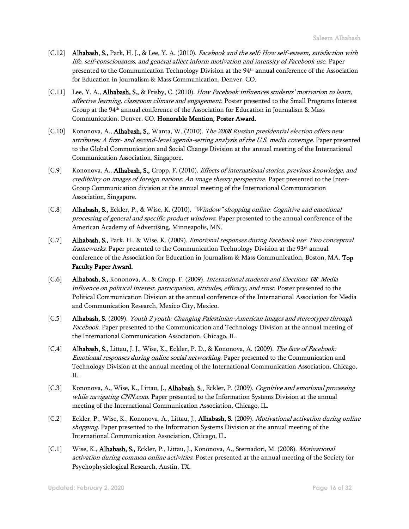- [C.12] Alhabash, S., Park, H. J., & Lee, Y. A. (2010). Facebook and the self: How self-esteem, satisfaction with life, self-consciousness, and general affect inform motivation and intensity of Facebook use. Paper presented to the Communication Technology Division at the 94th annual conference of the Association for Education in Journalism & Mass Communication, Denver, CO.
- [C.11] Lee, Y. A., Alhabash, S., & Frisby, C. (2010). How Facebook influences students' motivation to learn, affective learning, classroom climate and engagement. Poster presented to the Small Programs Interest Group at the 94th annual conference of the Association for Education in Journalism & Mass Communication, Denver, CO. Honorable Mention, Poster Award.
- [C.10] Kononova, A., **Alhabash, S.,** Wanta, W. (2010). *The 2008 Russian presidential election offers new* attributes: A first- and second-level agenda-setting analysis of the U.S. media coverage. Paper presented to the Global Communication and Social Change Division at the annual meeting of the International Communication Association, Singapore.
- [C.9] Kononova, A., **Alhabash, S.,** Cropp, F. (2010). *Effects of international stories, previous knowledge, and* credibility on images of foreign nations: An image theory perspective. Paper presented to the Inter-Group Communication division at the annual meeting of the International Communication Association, Singapore.
- [C.8] Alhabash, S., Eckler, P., & Wise, K. (2010). "Window" shopping online: Cognitive and emotional processing of general and specific product windows. Paper presented to the annual conference of the American Academy of Advertising, Minneapolis, MN.
- [C.7] Alhabash, S., Park, H., & Wise, K. (2009). *Emotional responses during Facebook use: Two conceptual* frameworks. Paper presented to the Communication Technology Division at the 93<sup>rd</sup> annual conference of the Association for Education in Journalism & Mass Communication, Boston, MA. Top Faculty Paper Award.
- [C.6] Alhabash, S., Kononova, A., & Cropp, F. (2009). International students and Elections '08: Media influence on political interest, participation, attitudes, efficacy, and trust. Poster presented to the Political Communication Division at the annual conference of the International Association for Media and Communication Research, Mexico City, Mexico.
- [C.5] Alhabash, S. (2009). Youth 2 youth: Changing Palestinian-American images and stereotypes through Facebook. Paper presented to the Communication and Technology Division at the annual meeting of the International Communication Association, Chicago, IL.
- [C.4] **Alhabash, S.**, Littau, J. J., Wise, K., Eckler, P. D., & Kononova, A. (2009). The face of Facebook: Emotional responses during online social networking. Paper presented to the Communication and Technology Division at the annual meeting of the International Communication Association, Chicago, IL.
- [C.3] Kononova, A., Wise, K., Littau, J., **Alhabash, S.,** Eckler, P. (2009). Cognitive and emotional processing while navigating CNN.com. Paper presented to the Information Systems Division at the annual meeting of the International Communication Association, Chicago, IL.
- [C.2] Eckler, P., Wise, K., Kononova, A., Littau, J., Alhabash, S. (2009). *Motivational activation during online* shopping. Paper presented to the Information Systems Division at the annual meeting of the International Communication Association, Chicago, IL.
- [C.1] Wise, K., Alhabash, S., Eckler, P., Littau, J., Kononova, A., Sternadori, M. (2008). *Motivational* activation during common online activities. Poster presented at the annual meeting of the Society for Psychophysiological Research, Austin, TX.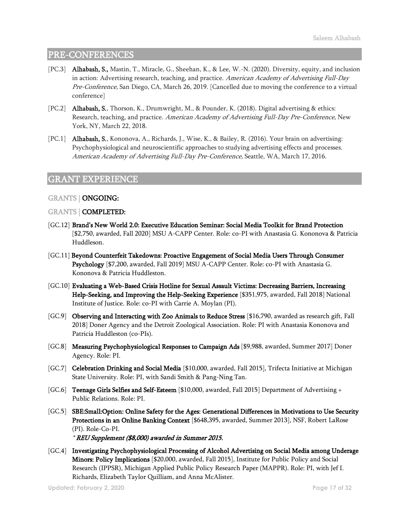## PRE-CONFERENCES

- [PC.3] Alhabash, S., Mastin, T., Miracle, G., Sheehan, K., & Lee, W.-N. (2020). Diversity, equity, and inclusion in action: Advertising research, teaching, and practice. American Academy of Advertising Full-Day Pre-Conference, San Diego, CA, March 26, 2019. [Cancelled due to moving the conference to a virtual conference]
- [PC.2] Alhabash, S., Thorson, K., Drumwright, M., & Pounder, K. (2018). Digital advertising & ethics: Research, teaching, and practice. American Academy of Advertising Full-Day Pre-Conference, New York, NY, March 22, 2018.
- [PC.1] Alhabash, S., Kononova, A., Richards, J., Wise, K., & Bailey, R. (2016). Your brain on advertising: Psychophysiological and neuroscientific approaches to studying advertising effects and processes. American Academy of Advertising Full-Day Pre-Conference, Seattle, WA, March 17, 2016.

## GRANT EXPERIENCE

#### GRANTS | ONGOING:

#### GRANTS | COMPLETED:

- [GC.12] Brand's New World 2.0: Executive Education Seminar: Social Media Toolkit for Brand Protection [\$2,750, awarded, Fall 2020] MSU A-CAPP Center. Role: co-PI with Anastasia G. Kononova & Patricia Huddleson.
- [GC.11] Beyond Counterfeit Takedowns: Proactive Engagement of Social Media Users Through Consumer Psychology [\$7,200, awarded, Fall 2019] MSU A-CAPP Center. Role: co-PI with Anastasia G. Kononova & Patricia Huddleston.
- [GC.10] Evaluating a Web-Based Crisis Hotline for Sexual Assault Victims: Decreasing Barriers, Increasing Help-Seeking, and Improving the Help-Seeking Experience [\$351,975, awarded, Fall 2018] National Institute of Justice. Role: co-PI with Carrie A. Moylan (PI).
- [GC.9] Observing and Interacting with Zoo Animals to Reduce Stress [\$16,790, awarded as research gift, Fall 2018] Doner Agency and the Detroit Zoological Association. Role: PI with Anastasia Kononova and Patricia Huddleston (co-PIs).
- [GC.8] Measuring Psychophysiological Responses to Campaign Ads [\$9,988, awarded, Summer 2017] Doner Agency. Role: PI.
- [GC.7] Celebration Drinking and Social Media [\$10,000, awarded, Fall 2015], Trifecta Initiative at Michigan State University. Role: PI, with Sandi Smith & Pang-Ning Tan.
- [GC.6] **Teenage Girls Selfies and Self-Esteem** [\$10,000, awarded, Fall 2015] Department of Advertising + Public Relations. Role: PI.
- [GC.5] SBE:Small:Option: Online Safety for the Ages: Generational Differences in Motivations to Use Security Protections in an Online Banking Context [\$648,395, awarded, Summer 2013], NSF, Robert LaRose (PI). Role-Co-PI.

\* REU Supplement (\$8,000) awarded in Summer 2015.

[GC.4] Investigating Psychophysiological Processing of Alcohol Advertising on Social Media among Underage Minors: Policy Implications [\$20,000, awarded, Fall 2015], Institute for Public Policy and Social Research (IPPSR), Michigan Applied Public Policy Research Paper (MAPPR). Role: PI, with Jef I. Richards, Elizabeth Taylor Quilliam, and Anna McAlister.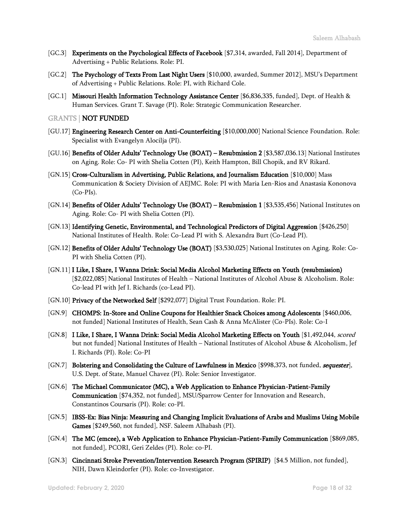- [GC.3] **Experiments on the Psychological Effects of Facebook** [\$7,314, awarded, Fall 2014], Department of Advertising + Public Relations. Role: PI.
- [GC.2] The Psychology of Texts From Last Night Users [\$10,000, awarded, Summer 2012], MSU's Department of Advertising + Public Relations. Role: PI, with Richard Cole.
- [GC.1] Missouri Health Information Technology Assistance Center [\$6,836,335, funded], Dept. of Health & Human Services. Grant T. Savage (PI). Role: Strategic Communication Researcher.

GRANTS | NOT FUNDED

- [GU.17] Engineering Research Center on Anti-Counterfeiting [\$10,000,000] National Science Foundation. Role: Specialist with Evangelyn Alocilja (PI).
- [GU.16] Benefits of Older Adults' Technology Use (BOAT) Resubmission 2 [\$3,587,036.13] National Institutes on Aging. Role: Co- PI with Shelia Cotten (PI), Keith Hampton, Bill Chopik, and RV Rikard.
- [GN.15] Cross-Culturalism in Advertising, Public Relations, and Journalism Education [\$10,000] Mass Communication & Society Division of AEJMC. Role: PI with Maria Len-Rios and Anastasia Kononova (Co-PIs).
- [GN.14] Benefits of Older Adults' Technology Use (BOAT) Resubmission 1 [\$3,535,456] National Institutes on Aging. Role: Co- PI with Shelia Cotten (PI).
- [GN.13] Identifying Genetic, Environmental, and Technological Predictors of Digital Aggression [\$426,250] National Institutes of Health. Role: Co-Lead PI with S. Alexandra Burt (Co-Lead PI).
- [GN.12] Benefits of Older Adults' Technology Use (BOAT) [\$3,530,025] National Institutes on Aging. Role: Co-PI with Shelia Cotten (PI).
- [GN.11] I Like, I Share, I Wanna Drink: Social Media Alcohol Marketing Effects on Youth (resubmission) [\$2,022,085] National Institutes of Health – National Institutes of Alcohol Abuse & Alcoholism. Role: Co-lead PI with Jef I. Richards (co-Lead PI).
- [GN.10] Privacy of the Networked Self [\$292,077] Digital Trust Foundation. Role: PI.
- [GN.9] CHOMPS: In-Store and Online Coupons for Healthier Snack Choices among Adolescents [\$460,006, not funded] National Institutes of Health, Sean Cash & Anna McAlister (Co-PIs). Role: Co-I
- [GN.8] I Like, I Share, I Wanna Drink: Social Media Alcohol Marketing Effects on Youth [\$1,492,044, scored but not funded] National Institutes of Health – National Institutes of Alcohol Abuse & Alcoholism, Jef I. Richards (PI). Role: Co-PI
- [GN.7] Bolstering and Consolidating the Culture of Lawfulness in Mexico [\$998,373, not funded, sequester], U.S. Dept. of State, Manuel Chavez (PI). Role: Senior Investigator.
- [GN.6] The Michael Communicator (MC), a Web Application to Enhance Physician-Patient-Family Communication [\$74,352, not funded], MSU/Sparrow Center for Innovation and Research, Constantinos Coursaris (PI). Role: co-PI.
- [GN.5] IBSS-Ex: Bias Ninja: Measuring and Changing Implicit Evaluations of Arabs and Muslims Using Mobile Games [\$249,560, not funded], NSF. Saleem Alhabash (PI).
- [GN.4] The MC (emcee), a Web Application to Enhance Physician-Patient-Family Communication [\$869,085, not funded], PCORI, Geri Zeldes (PI). Role: co-PI.
- [GN.3] Cincinnati Stroke Prevention/Intervention Research Program (SPIRIP) [\$4.5 Million, not funded], NIH, Dawn Kleindorfer (PI). Role: co-Investigator.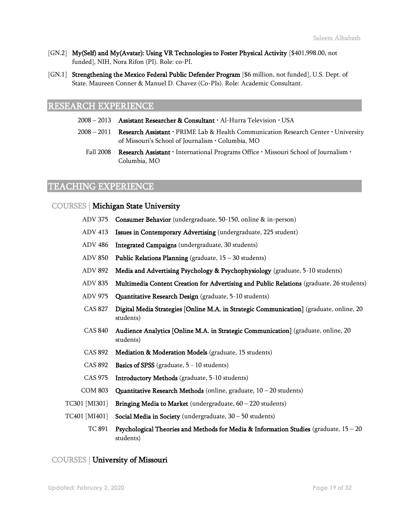- [GN.2] My(Self) and My(Avatar): Using VR Technologies to Foster Physical Activity [\$401,998.00, not funded], NIH, Nora Rifon (PI). Role: co-PI.
- [GN.1] Strengthening the Mexico Federal Public Defender Program [\$6 million, not funded], U.S. Dept. of State. Maureen Conner & Manuel D. Chavez (Co-PIs). Role: Academic Consultant.

## RESEARCH EXPERIENCE

- $2008 2013$  Assistant Researcher & Consultant  $\cdot$  Al-Hurra Television  $\cdot$  USA
- 2008 2011 Research Assistant · PRIME Lab & Health Communication Research Center · University of Missouri's School of Journalism • Columbia, MO
	- Fall 2008 Research Assistant · International Programs Office · Missouri School of Journalism · Columbia, MO

## TEACHING EXPERIENCE

## COURSES | Michigan State University

- ADV 375 Consumer Behavior (undergraduate, 50-150, online & in-person)
- ADV 413 Issues in Contemporary Advertising (undergraduate, 225 student)
- ADV 486 Integrated Campaigns (undergraduate, 30 students)
- ADV 850 Public Relations Planning (graduate, 15 30 students)
- ADV 892 Media and Advertising Psychology & Psychophysiology (graduate, 5-10 students)
- ADV 835 Multimedia Content Creation for Advertising and Public Relations (graduate, 26 students)
- ADV 975 Quantitative Research Design (graduate, 5-10 students)
- CAS 827 Digital Media Strategies [Online M.A. in Strategic Communication] (graduate, online, 20 students)
- CAS 840 Audience Analytics [Online M.A. in Strategic Communication] (graduate, online, 20 students)
- CAS 892 Mediation & Moderation Models (graduate, 15 students)
- CAS 892 Basics of SPSS (graduate, 5 10 students)
- CAS 975 Introductory Methods (graduate, 5-10 students)
- COM 803 Quantitative Research Methods (online, graduate, 10 20 students)
- TC301 [MI301] Bringing Media to Market (undergraduate, 60 220 students)
- TC401 [MI401] Social Media in Society (undergraduate, 30 50 students)
	- TC 891 Psychological Theories and Methods for Media & Information Studies (graduate,  $15 20$ students)

## COURSES | University of Missouri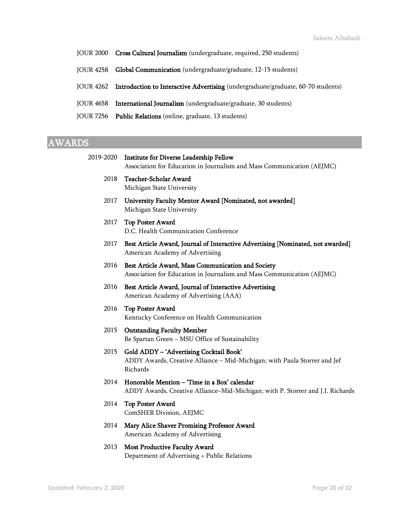- JOUR 2000 Cross Cultural Journalism (undergraduate, required, 250 students)
- JOUR 4258 Global Communication (undergraduate/graduate, 12-15 students)
- JOUR 4262 Introduction to Interactive Advertising (undergraduate/graduate, 60-70 students)
- JOUR 4658 International Journalism (undergraduate/graduate, 30 students)
- JOUR 7256 Public Relations (online, graduate, 13 students)

## AWARDS

| 2019-2020 | <b>Institute for Diverse Leadership Fellow</b><br>Association for Education in Journalism and Mass Communication (AEJMC)         |
|-----------|----------------------------------------------------------------------------------------------------------------------------------|
| 2018      | <b>Teacher-Scholar Award</b><br>Michigan State University                                                                        |
| 2017      | University Faculty Mentor Award [Nominated, not awarded]<br>Michigan State University                                            |
| 2017      | <b>Top Poster Award</b><br>D.C. Health Communication Conference                                                                  |
| 2017      | Best Article Award, Journal of Interactive Advertising [Nominated, not awarded]<br>American Academy of Advertising               |
| 2016      | Best Article Award, Mass Communication and Society<br>Association for Education in Journalism and Mass Communication (AEJMC)     |
| 2016      | Best Article Award, Journal of Interactive Advertising<br>American Academy of Advertising (AAA)                                  |
| 2016      | <b>Top Poster Award</b><br>Kentucky Conference on Health Communication                                                           |
| 2015      | <b>Outstanding Faculty Member</b><br>Be Spartan Green - MSU Office of Sustainability                                             |
| 2015      | Gold ADDY - 'Advertising Cocktail Book'<br>ADDY Awards, Creative Alliance - Mid-Michigan; with Paula Storrer and Jef<br>Richards |
| 2014      | Honorable Mention - 'Time in a Box' calendar<br>ADDY Awards, Creative Alliance-Mid-Michigan; with P. Storrer and J.I. Richards   |
| 2014      | Top Poster Award<br>ComSHER Division, AEJMC                                                                                      |
| 2014      | Mary Alice Shaver Promising Professor Award<br>American Academy of Advertising                                                   |
| 2013      | <b>Most Productive Faculty Award</b>                                                                                             |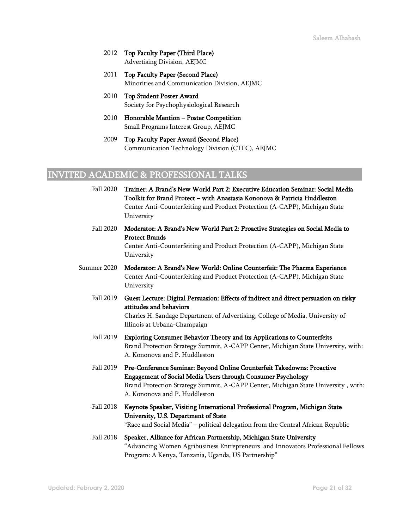- 2012 Top Faculty Paper (Third Place) Advertising Division, AEJMC
- 2011 Top Faculty Paper (Second Place) Minorities and Communication Division, AEJMC
- 2010 Top Student Poster Award Society for Psychophysiological Research
- 2010 Honorable Mention Poster Competition Small Programs Interest Group, AEJMC
- 2009 Top Faculty Paper Award (Second Place) Communication Technology Division (CTEC), AEJMC

## INVITED ACADEMIC & PROFESSIONAL TALKS

- Fall 2020 Trainer: A Brand's New World Part 2: Executive Education Seminar: Social Media Toolkit for Brand Protect – with Anastasia Kononova & Patricia Huddleston Center Anti-Counterfeiting and Product Protection (A-CAPP), Michigan State University Fall 2020 Moderator: A Brand's New World Part 2: Proactive Strategies on Social Media to
	- Protect Brands Center Anti-Counterfeiting and Product Protection (A-CAPP), Michigan State University
- Summer 2020 Moderator: A Brand's New World: Online Counterfeit: The Pharma Experience Center Anti-Counterfeiting and Product Protection (A-CAPP), Michigan State University
	- Fall 2019 Guest Lecture: Digital Persuasion: Effects of indirect and direct persuasion on risky attitudes and behaviors Charles H. Sandage Department of Advertising, College of Media, University of Illinois at Urbana-Champaign
	- Fall 2019 Exploring Consumer Behavior Theory and Its Applications to Counterfeits Brand Protection Strategy Summit, A-CAPP Center, Michigan State University, with: A. Kononova and P. Huddleston
	- Fall 2019 Pre-Conference Seminar: Beyond Online Counterfeit Takedowns: Proactive Engagement of Social Media Users through Consumer Psychology Brand Protection Strategy Summit, A-CAPP Center, Michigan State University , with: A. Kononova and P. Huddleston
	- Fall 2018 Keynote Speaker, Visiting International Professional Program, Michigan State University, U.S. Department of State "Race and Social Media" – political delegation from the Central African Republic
	- Fall 2018 Speaker, Alliance for African Partnership, Michigan State University "Advancing Women Agribusiness Entrepreneurs and Innovators Professional Fellows Program: A Kenya, Tanzania, Uganda, US Partnership"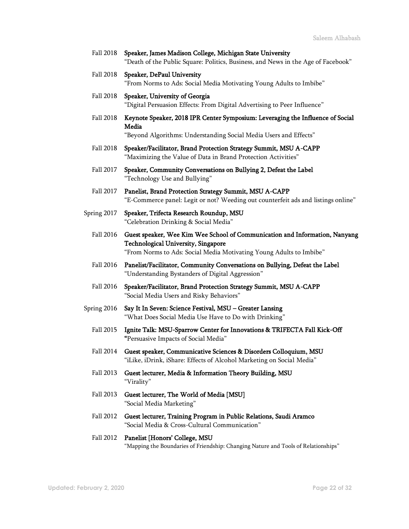- Fall 2018 Speaker, James Madison College, Michigan State University "Death of the Public Square: Politics, Business, and News in the Age of Facebook"
- Fall 2018 Speaker, DePaul University "From Norms to Ads: Social Media Motivating Young Adults to Imbibe"
- Fall 2018 Speaker, University of Georgia "Digital Persuasion Effects: From Digital Advertising to Peer Influence"
- Fall 2018 Keynote Speaker, 2018 IPR Center Symposium: Leveraging the Influence of Social Media

"Beyond Algorithms: Understanding Social Media Users and Effects"

- Fall 2018 Speaker/Facilitator, Brand Protection Strategy Summit, MSU A-CAPP "Maximizing the Value of Data in Brand Protection Activities"
- Fall 2017 Speaker, Community Conversations on Bullying 2, Defeat the Label "Technology Use and Bullying"
- Fall 2017 Panelist, Brand Protection Strategy Summit, MSU A-CAPP "E-Commerce panel: Legit or not? Weeding out counterfeit ads and listings online"
- Spring 2017 Speaker, Trifecta Research Roundup, MSU "Celebration Drinking & Social Media"
	- Fall 2016 Guest speaker, Wee Kim Wee School of Communication and Information, Nanyang Technological University, Singapore "From Norms to Ads: Social Media Motivating Young Adults to Imbibe"
	- Fall 2016 Panelist/Facilitator, Community Conversations on Bullying, Defeat the Label "Understanding Bystanders of Digital Aggression"
	- Fall 2016 Speaker/Facilitator, Brand Protection Strategy Summit, MSU A-CAPP "Social Media Users and Risky Behaviors"
- Spring 2016 Say It In Seven: Science Festival, MSU Greater Lansing "What Does Social Media Use Have to Do with Drinking"
	- Fall 2015 Ignite Talk: MSU-Sparrow Center for Innovations & TRIFECTA Fall Kick-Off "Persuasive Impacts of Social Media"
	- Fall 2014 Guest speaker, Communicative Sciences & Disorders Colloquium, MSU "iLike, iDrink, iShare: Effects of Alcohol Marketing on Social Media"
	- Fall 2013 Guest lecturer, Media & Information Theory Building, MSU "Virality"
	- Fall 2013 Guest lecturer, The World of Media [MSU] "Social Media Marketing"
	- Fall 2012 Guest lecturer, Training Program in Public Relations, Saudi Aramco "Social Media & Cross-Cultural Communication"

#### Fall 2012 Panelist [Honors' College, MSU "Mapping the Boundaries of Friendship: Changing Nature and Tools of Relationships"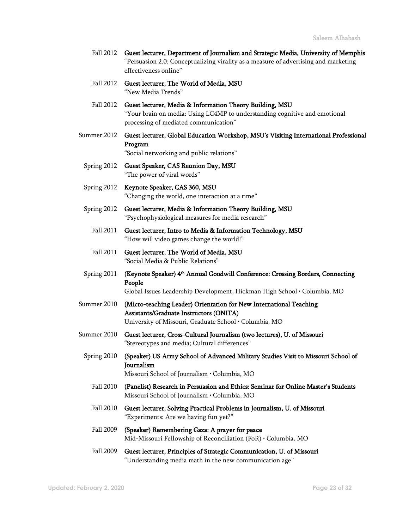| Fall 2012 Guest lecturer, Department of Journalism and Strategic Media, University of Memphis |
|-----------------------------------------------------------------------------------------------|
| "Persuasion 2.0: Conceptualizing virality as a measure of advertising and marketing           |
| effectiveness online"                                                                         |

- Fall 2012 Guest lecturer, The World of Media, MSU "New Media Trends"
- Fall 2012 Guest lecturer, Media & Information Theory Building, MSU "Your brain on media: Using LC4MP to understanding cognitive and emotional processing of mediated communication"
- Summer 2012 Guest lecturer, Global Education Workshop, MSU's Visiting International Professional Program "Social networking and public relations"
- Spring 2012 Guest Speaker, CAS Reunion Day, MSU "The power of viral words"
- Spring 2012 Keynote Speaker, CAS 360, MSU "Changing the world, one interaction at a time"
- Spring 2012 Guest lecturer, Media & Information Theory Building, MSU "Psychophysiological measures for media research"
	- Fall 2011 Guest lecturer, Intro to Media & Information Technology, MSU "How will video games change the world!"
	- Fall 2011 Guest lecturer, The World of Media, MSU "Social Media & Public Relations"
- Spring 2011 (**Keynote Speaker) 4<sup>th</sup> Annual Goodwill Conference: Crossing Borders, Connecting** People Global Issues Leadership Development, Hickman High School • Columbia, MO
- Summer 2010 (Micro-teaching Leader) Orientation for New International Teaching Assistants/Graduate Instructors (ONITA)

University of Missouri, Graduate School • Columbia, MO

- Summer 2010 Guest lecturer, Cross-Cultural Journalism (two lectures), U. of Missouri "Stereotypes and media; Cultural differences"
	- Spring 2010 (Speaker) US Army School of Advanced Military Studies Visit to Missouri School of Journalism

Missouri School of Journalism • Columbia, MO

- Fall 2010 (Panelist) Research in Persuasion and Ethics: Seminar for Online Master's Students Missouri School of Journalism • Columbia, MO
- Fall 2010 Guest lecturer, Solving Practical Problems in Journalism, U. of Missouri "Experiments: Are we having fun yet?"
- Fall 2009 (Speaker) Remembering Gaza: A prayer for peace Mid-Missouri Fellowship of Reconciliation (FoR) • Columbia, MO
- Fall 2009 Guest lecturer, Principles of Strategic Communication, U. of Missouri "Understanding media math in the new communication age"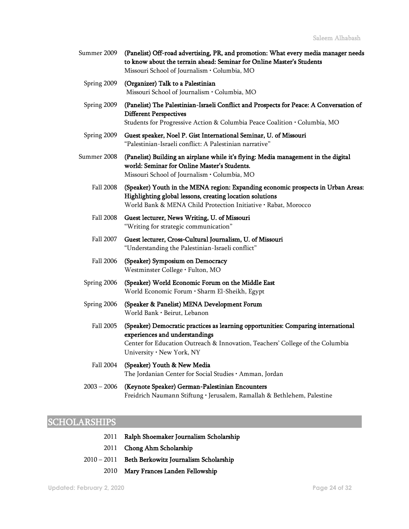| Summer 2009 (Panelist) Off-road advertising, PR, and promotion: What every media manager needs |
|------------------------------------------------------------------------------------------------|
| to know about the terrain ahead: Seminar for Online Master's Students                          |
| Missouri School of Journalism • Columbia, MO                                                   |

- Spring 2009 (Organizer) Talk to a Palestinian Missouri School of Journalism • Columbia, MO
- Spring 2009 (Panelist) The Palestinian-Israeli Conflict and Prospects for Peace: A Conversation of Different Perspectives Students for Progressive Action & Columbia Peace Coalition • Columbia, MO
- Spring 2009 Guest speaker, Noel P. Gist International Seminar, U. of Missouri "Palestinian-Israeli conflict: A Palestinian narrative"
- Summer 2008 (Panelist) Building an airplane while it's flying: Media management in the digital world: Seminar for Online Master's Students. Missouri School of Journalism • Columbia, MO
	- Fall 2008 (Speaker) Youth in the MENA region: Expanding economic prospects in Urban Areas: Highlighting global lessons, creating location solutions World Bank & MENA Child Protection Initiative • Rabat, Morocco
	- Fall 2008 Guest lecturer, News Writing, U. of Missouri "Writing for strategic communication"
	- Fall 2007 Guest lecturer, Cross-Cultural Journalism, U. of Missouri "Understanding the Palestinian-Israeli conflict"
	- Fall 2006 (Speaker) Symposium on Democracy Westminster College • Fulton, MO
	- Spring 2006 (Speaker) World Economic Forum on the Middle East World Economic Forum • Sharm El-Sheikh, Egypt
	- Spring 2006 (Speaker & Panelist) MENA Development Forum World Bank • Beirut, Lebanon
		- Fall 2005 (Speaker) Democratic practices as learning opportunities: Comparing international experiences and understandings Center for Education Outreach & Innovation, Teachers' College of the Columbia University • New York, NY
		- Fall 2004 (Speaker) Youth & New Media The Jordanian Center for Social Studies • Amman, Jordan
	- 2003 2006 (Keynote Speaker) German-Palestinian Encounters Freidrich Naumann Stiftung • Jerusalem, Ramallah & Bethlehem, Palestine

## SCHOLARSHIPS

- 2011 Ralph Shoemaker Journalism Scholarship
- 2011 Chong Ahm Scholarship
- 2010 2011 Beth Berkowitz Journalism Scholarship
	- 2010 Mary Frances Landen Fellowship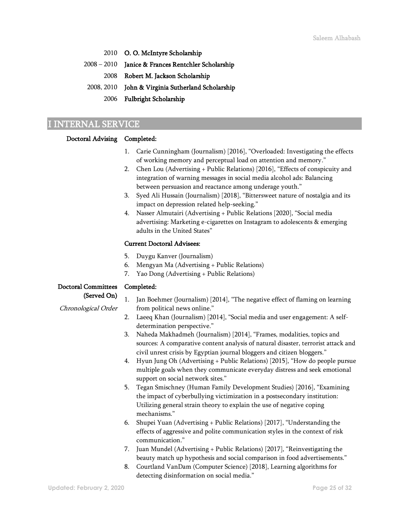- 2010 O. O. McIntyre Scholarship
- 2008 2010 Janice & Frances Rentchler Scholarship
	- 2008 Robert M. Jackson Scholarship
- 2008, 2010 John & Virginia Sutherland Scholarship
	- 2006 Fulbright Scholarship

## I INTERNAL SERVICE

#### Doctoral Advising Completed:

- 1. Carie Cunningham (Journalism) [2016], "Overloaded: Investigating the effects of working memory and perceptual load on attention and memory."
- 2. Chen Lou (Advertising + Public Relations) [2016], "Effects of conspicuity and integration of warning messages in social media alcohol ads: Balancing between persuasion and reactance among underage youth."
- 3. Syed Ali Hussain (Journalism) [2018], "Bittersweet nature of nostalgia and its impact on depression related help-seeking."
- 4. Nasser Almutairi (Advertising + Public Relations [2020], "Social media advertising: Marketing e-cigarettes on Instagram to adolescents & emerging adults in the United States"

#### Current Doctoral Advisees:

- 5. Duygu Kanver (Journalism)
- 6. Mengyan Ma (Advertising + Public Relations)
- 7. Yao Dong (Advertising + Public Relations)

#### Doctoral Committees Completed:

#### (Served On)

- Chronological Order
- 1. Jan Boehmer (Journalism) [2014], "The negative effect of flaming on learning from political news online."
- 2. Laeeq Khan (Journalism) [2014], "Social media and user engagement: A selfdetermination perspective."
- 3. Naheda Makhadmeh (Journalism) [2014], "Frames, modalities, topics and sources: A comparative content analysis of natural disaster, terrorist attack and civil unrest crisis by Egyptian journal bloggers and citizen bloggers."
- 4. Hyun Jung Oh (Advertising + Public Relations) [2015], "How do people pursue multiple goals when they communicate everyday distress and seek emotional support on social network sites."
- 5. Tegan Smischney (Human Family Development Studies) [2016], "Examining the impact of cyberbullying victimization in a postsecondary institution: Utilizing general strain theory to explain the use of negative coping mechanisms."
- 6. Shupei Yuan (Advertising + Public Relations) [2017], "Understanding the effects of aggressive and polite communication styles in the context of risk communication."
- 7. Juan Mundel (Advertising + Public Relations) [2017], "Reinvestigating the beauty match up hypothesis and social comparison in food advertisements."
- 8. Courtland VanDam (Computer Science) [2018], Learning algorithms for detecting disinformation on social media."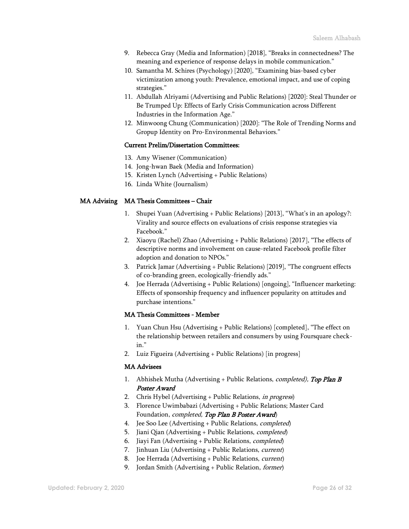- 9. Rebecca Gray (Media and Information) [2018], "Breaks in connectedness? The meaning and experience of response delays in mobile communication."
- 10. Samantha M. Schires (Psychology) [2020], "Examining bias-based cyber victimization among youth: Prevalence, emotional impact, and use of coping strategies."
- 11. Abdullah Alriyami (Advertising and Public Relations) [2020]: Steal Thunder or Be Trumped Up: Effects of Early Crisis Communication across Different Industries in the Information Age."
- 12. Minwoong Chung (Communication) [2020]: "The Role of Trending Norms and Gropup Identity on Pro-Environmental Behaviors."

#### Current Prelim/Dissertation Committees:

- 13. Amy Wisener (Communication)
- 14. Jong-hwan Baek (Media and Information)
- 15. Kristen Lynch (Advertising + Public Relations)
- 16. Linda White (Journalism)

#### MA Advising MA Thesis Committees – Chair

- 1. Shupei Yuan (Advertising + Public Relations) [2013], "What's in an apology?: Virality and source effects on evaluations of crisis response strategies via Facebook."
- 2. Xiaoyu (Rachel) Zhao (Advertising + Public Relations) [2017], "The effects of descriptive norms and involvement on cause-related Facebook profile filter adoption and donation to NPOs."
- 3. Patrick Jamar (Advertising + Public Relations) [2019], "The congruent effects of co-branding green, ecologically-friendly ads."
- 4. Joe Herrada (Advertising + Public Relations) [ongoing], "Influencer marketing: Effects of sponsorship frequency and influencer popularity on attitudes and purchase intentions."

#### MA Thesis Committees - Member

- 1. Yuan Chun Hsu (Advertising + Public Relations) [completed], "The effect on the relationship between retailers and consumers by using Foursquare checkin."
- 2. Luiz Figueira (Advertising + Public Relations) [in progress]

#### MA Advisees

- 1. Abhishek Mutha (Advertising + Public Relations, *completed)*, Top Plan B Poster Award
- 2. Chris Hybel (Advertising + Public Relations, in progress)
- 3. Florence Uwimbabazi (Advertising + Public Relations; Master Card Foundation, *completed*, Top Plan B Poster Award)
- 4. Jee Soo Lee (Advertising + Public Relations, completed)
- 5. Jiani Qian (Advertising + Public Relations, completed)
- 6. Jiayi Fan (Advertising + Public Relations, completed)
- 7. Jinhuan Liu (Advertising + Public Relations, current)
- 8. Joe Herrada (Advertising + Public Relations, current)
- 9. Jordan Smith (Advertising + Public Relation, *former*)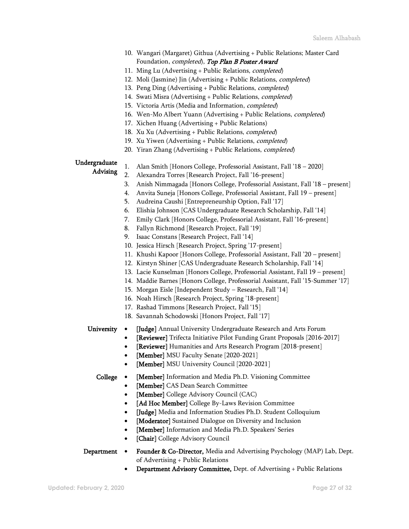- 10. Wangari (Margaret) Githua (Advertising + Public Relations; Master Card Foundation, *completed*), Top Plan B Poster Award
- 11. Ming Lu (Advertising + Public Relations, completed)
- 12. Moli (Jasmine) Jin (Advertising + Public Relations, completed)
- 13. Peng Ding (Advertising + Public Relations, completed)
- 14. Swati Misra (Advertising + Public Relations, completed)
- 15. Victoria Artis (Media and Information, completed)
- 16. Wen-Mo Albert Yuann (Advertising + Public Relations, completed)
- 17. Xichen Huang (Advertising + Public Relations)
- 18. Xu Xu (Advertising + Public Relations, completed)
- 19. Xu Yiwen (Advertising + Public Relations, completed)
- 20. Yiran Zhang (Advertising + Public Relations, completed)

#### Undergraduate

Advising

- 1. Alan Smith [Honors College, Professorial Assistant, Fall '18 2020]
- 2. Alexandra Torres [Research Project, Fall '16-present]
- 3. Anish Nimmagada [Honors College, Professorial Assistant, Fall '18 present]
- 4. Anvita Suneja [Honors College, Professorial Assistant, Fall 19 present]
- 5. Audreina Caushi [Entrepreneurship Option, Fall '17]
- 6. Elishia Johnson [CAS Undergraduate Research Scholarship, Fall '14]
- 7. Emily Clark [Honors College, Professorial Assistant, Fall '16-present]
- 8. Fallyn Richmond [Research Project, Fall '19]
- 9. Isaac Constans [Research Project, Fall '14]
- 10. Jessica Hirsch [Research Project, Spring '17-present]
- 11. Khushi Kapoor [Honors College, Professorial Assistant, Fall '20 present]
- 12. Kirstyn Shiner [CAS Undergraduate Research Scholarship, Fall '14]
- 13. Lacie Kunselman [Honors College, Professorial Assistant, Fall 19 present]
- 14. Maddie Barnes [Honors College, Professorial Assistant, Fall '15-Summer '17]
- 15. Morgan Eisle [Independent Study Research, Fall '14]
- 16. Noah Hirsch [Research Project, Spring '18-present]
- 17. Rashad Timmons [Research Project, Fall '15]
- 18. Savannah Schodowski [Honors Project, Fall '17]

- University [Judge] Annual University Undergraduate Research and Arts Forum
	- [Reviewer] Trifecta Initiative Pilot Funding Grant Proposals [2016-2017]
	- [Reviewer] Humanities and Arts Research Program [2018-present]
	- [Member] MSU Faculty Senate [2020-2021]
	- [Member] MSU University Council [2020-2021]

- College [Member] Information and Media Ph.D. Visioning Committee
	- [Member] CAS Dean Search Committee
	- [Member] College Advisory Council (CAC)
	- [Ad Hoc Member] College By-Laws Revision Committee
	- [Judge] Media and Information Studies Ph.D. Student Colloquium
	- [Moderator] Sustained Dialogue on Diversity and Inclusion
	- [Member] Information and Media Ph.D. Speakers' Series
	- [Chair] College Advisory Council
- Department Founder & Co-Director, Media and Advertising Psychology (MAP) Lab, Dept. of Advertising + Public Relations
	- Department Advisory Committee, Dept. of Advertising + Public Relations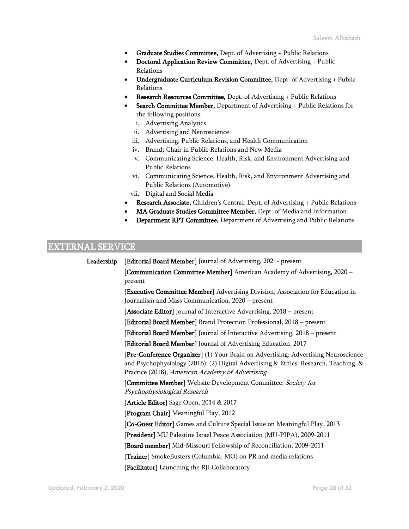- Graduate Studies Committee, Dept. of Advertising + Public Relations
- Doctoral Application Review Committee, Dept. of Advertising + Public Relations
- Undergraduate Curriculum Revision Committee, Dept. of Advertising + Public Relations
- Research Resources Committee, Dept. of Advertising + Public Relations
- Search Committee Member, Department of Advertising + Public Relations for the following positions:
	- i. Advertising Analytics
	- ii. Advertising and Neuroscience
	- iii. Advertising, Public Relations, and Health Communication
	- iv. Brandt Chair in Public Relations and New Media
	- v. Communicating Science, Health, Risk, and Environment Advertising and Public Relations
	- vi. Communicating Science, Health, Risk, and Environment Advertising and Public Relations (Automotive)
	- vii. Digital and Social Media
- Research Associate, Children's Central, Dept. of Advertising + Public Relations
- MA Graduate Studies Committee Member, Dept. of Media and Information
- Department RPT Committee, Department of Advertising and Public Relations

## EXTERNAL SERVICE

Leadership [Editorial Board Member] Journal of Advertising, 2021- present [Communication Committee Member] American Academy of Advertising, 2020 – present [Executive Committee Member] Advertising Division, Association for Education in Journalism and Mass Communication, 2020 – present [Associate Editor] Journal of Interactive Advertising, 2018 – present [Editorial Board Member] Brand Protection Professional, 2018 – present [Editorial Board Member] Journal of Interactive Advertising, 2018 – present [Editorial Board Member] Journal of Advertising Education, 2017 [Pre-Conference Organizer] (1) Your Brain on Advertising: Advertising Neuroscience and Psychophysiology (2016); (2) Digital Advertising & Ethics: Research, Teaching, & Practice (2018), American Academy of Advertising [Committee Member] Website Development Committee, Society for Psychophysiological Research [Article Editor] Sage Open, 2014 & 2017 [Program Chair] Meaningful Play, 2012 [Co-Guest Editor] Games and Culture Special Issue on Meaningful Play, 2013 [President] MU Palestine Israel Peace Association (MU-PIPA), 2009-2011 [Board member] Mid-Missouri Fellowship of Reconciliation, 2009-2011 [Trainer] SmokeBusters (Columbia, MO) on PR and media relations [Facilitator] Launching the RJI Collaboratory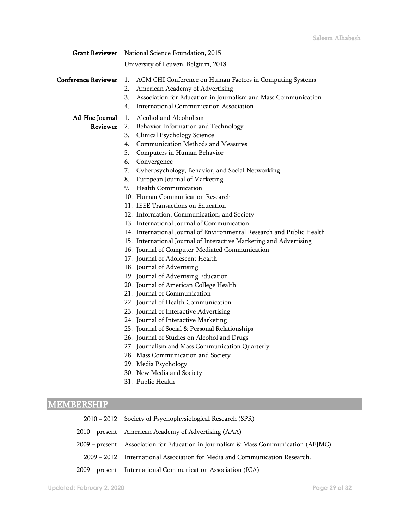| <b>Grant Reviewer</b>      | National Science Foundation, 2015                                                                                                                                                                                                                                                                                                                                                                                                                                                                                                                                                                                                                                                                                                                                                                                                                                                                                                                                                                                                               |
|----------------------------|-------------------------------------------------------------------------------------------------------------------------------------------------------------------------------------------------------------------------------------------------------------------------------------------------------------------------------------------------------------------------------------------------------------------------------------------------------------------------------------------------------------------------------------------------------------------------------------------------------------------------------------------------------------------------------------------------------------------------------------------------------------------------------------------------------------------------------------------------------------------------------------------------------------------------------------------------------------------------------------------------------------------------------------------------|
|                            | University of Leuven, Belgium, 2018                                                                                                                                                                                                                                                                                                                                                                                                                                                                                                                                                                                                                                                                                                                                                                                                                                                                                                                                                                                                             |
| <b>Conference Reviewer</b> | ACM CHI Conference on Human Factors in Computing Systems<br>1.<br>American Academy of Advertising<br>2.<br>Association for Education in Journalism and Mass Communication<br>3.<br>International Communication Association<br>4.                                                                                                                                                                                                                                                                                                                                                                                                                                                                                                                                                                                                                                                                                                                                                                                                                |
| Ad-Hoc Journal<br>Reviewer | Alcohol and Alcoholism<br>1.<br>Behavior Information and Technology<br>2.<br>Clinical Psychology Science<br>3.<br>Communication Methods and Measures<br>4.<br>Computers in Human Behavior<br>5.<br>6.<br>Convergence<br>Cyberpsychology, Behavior, and Social Networking<br>7.<br>European Journal of Marketing<br>8.<br><b>Health Communication</b><br>9.<br>10. Human Communication Research<br>11. IEEE Transactions on Education<br>12. Information, Communication, and Society<br>13. International Journal of Communication<br>14. International Journal of Environmental Research and Public Health<br>15. International Journal of Interactive Marketing and Advertising<br>16. Journal of Computer-Mediated Communication<br>17. Journal of Adolescent Health<br>18. Journal of Advertising<br>19. Journal of Advertising Education<br>20. Journal of American College Health<br>21. Journal of Communication<br>22. Journal of Health Communication<br>23. Journal of Interactive Advertising<br>24. Journal of Interactive Marketing |
|                            | 25. Journal of Social & Personal Relationships<br>26. Journal of Studies on Alcohol and Drugs<br>27. Journalism and Mass Communication Quarterly<br>28. Mass Communication and Society                                                                                                                                                                                                                                                                                                                                                                                                                                                                                                                                                                                                                                                                                                                                                                                                                                                          |
|                            | 29. Media Psychology<br>30. New Media and Society<br>31. Public Health                                                                                                                                                                                                                                                                                                                                                                                                                                                                                                                                                                                                                                                                                                                                                                                                                                                                                                                                                                          |
| <b>MEMBERSHIP</b>          |                                                                                                                                                                                                                                                                                                                                                                                                                                                                                                                                                                                                                                                                                                                                                                                                                                                                                                                                                                                                                                                 |

| 2010 – 2012 Society of Psychophysiological Research (SPR)                            |
|--------------------------------------------------------------------------------------|
| 2010 – present American Academy of Advertising (AAA)                                 |
| 2009 – present Association for Education in Journalism & Mass Communication (AEJMC). |
| 2009 – 2012 International Association for Media and Communication Research.          |
| 2009 – present International Communication Association (ICA)                         |
|                                                                                      |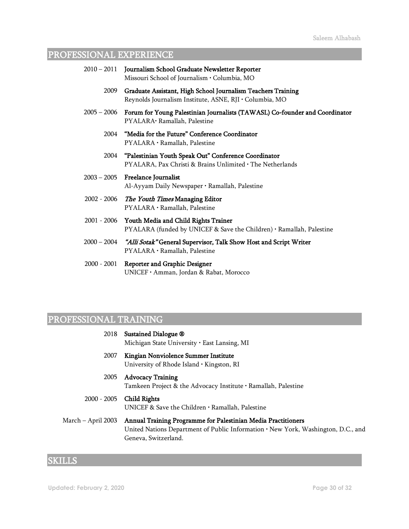# PROFESSIONAL EXPERIENCE

|               | 2010 - 2011 Journalism School Graduate Newsletter Reporter<br>Missouri School of Journalism · Columbia, MO               |
|---------------|--------------------------------------------------------------------------------------------------------------------------|
| 2009          | Graduate Assistant, High School Journalism Teachers Training<br>Reynolds Journalism Institute, ASNE, RJI · Columbia, MO  |
| 2005 – 2006   | Forum for Young Palestinian Journalists (TAWASL) Co-founder and Coordinator<br>PYALARA· Ramallah, Palestine              |
| 2004          | "Media for the Future" Conference Coordinator<br>PYALARA · Ramallah, Palestine                                           |
| 2004          | "Palestinian Youth Speak Out" Conference Coordinator<br>PYALARA, Pax Christi & Brains Unlimited . The Netherlands        |
|               | 2003 – 2005 – Freelance Journalist<br>Al-Ayyam Daily Newspaper · Ramallah, Palestine                                     |
|               | 2002 - 2006 The Youth Times Managing Editor<br>PYALARA · Ramallah, Palestine                                             |
|               | 2001 - 2006 Youth Media and Child Rights Trainer<br>PYALARA (funded by UNICEF & Save the Children) · Ramallah, Palestine |
| 2000 – 2004   | "Alli Sotak" General Supervisor, Talk Show Host and Script Writer<br>PYALARA · Ramallah, Palestine                       |
| $2000 - 2001$ | <b>Reporter and Graphic Designer</b><br>UNICEF · Amman, Jordan & Rabat, Morocco                                          |
|               |                                                                                                                          |

# PROFESSIONAL TRAINING

| 2018               | Sustained Dialogue ®<br>Michigan State University · East Lansing, MI                                                                                                       |
|--------------------|----------------------------------------------------------------------------------------------------------------------------------------------------------------------------|
| 2007               | Kingian Nonviolence Summer Institute<br>University of Rhode Island · Kingston, RI                                                                                          |
| 2005               | <b>Advocacy Training</b><br>Tamkeen Project & the Advocacy Institute $\cdot$ Ramallah, Palestine                                                                           |
| 2000 - 2005        | Child Rights<br>UNICEF & Save the Children $\cdot$ Ramallah, Palestine                                                                                                     |
| March – April 2003 | Annual Training Programme for Palestinian Media Practitioners<br>United Nations Department of Public Information . New York, Washington, D.C., and<br>Geneva, Switzerland. |

# **SKILLS**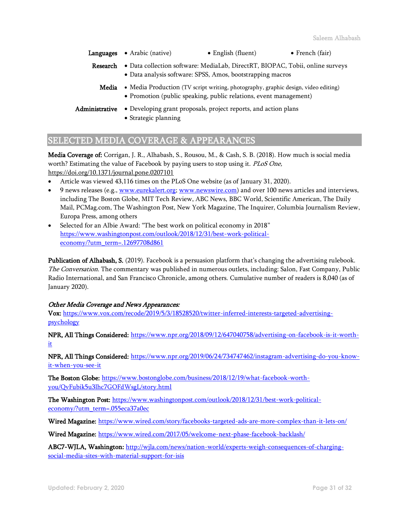- Languages Arabic (native) English (fluent) French (fair)
	- Research Data collection software: MediaLab, DirectRT, BIOPAC, Tobii, online surveys • Data analysis software: SPSS, Amos, bootstrapping macros
		- Media Media Production (TV script writing, photography, graphic design, video editing) • Promotion (public speaking, public relations, event management)
- Administrative Developing grant proposals, project reports, and action plans
	- Strategic planning

## SELECTED MEDIA COVERAGE & APPEARANCES

Media Coverage of: Corrigan, J. R., Alhabash, S., Rousou, M., & Cash, S. B. (2018). How much is social media worth? Estimating the value of Facebook by paying users to stop using it. PLoS One, <https://doi.org/10.1371/journal.pone.0207101>

- Article was viewed 43,116 times on the PLoS One website (as of January 31, 2020).
- 9 news releases (e.g.[, www.eurekalert.org;](http://www.eurekalert.org/) [www.newswire.com\)](http://www.newswire.com/) and over 100 news articles and interviews, including The Boston Globe, MIT Tech Review, ABC News, BBC World, Scientific American, The Daily Mail, PCMag.com, The Washington Post, New York Magazine, The Inquirer, Columbia Journalism Review, Europa Press, among others
- Selected for an Albie Award: "The best work on political economy in 2018" [https://www.washingtonpost.com/outlook/2018/12/31/best-work-political](https://www.washingtonpost.com/outlook/2018/12/31/best-work-political-economy/?utm_term=.12697708d861)[economy/?utm\\_term=.12697708d861](https://www.washingtonpost.com/outlook/2018/12/31/best-work-political-economy/?utm_term=.12697708d861)

Publication of Alhabash, S. (2019). Facebook is a persuasion platform that's changing the advertising rulebook. The Conversation. The commentary was published in numerous outlets, including: Salon, Fast Company, Public Radio International, and San Francisco Chronicle, among others. Cumulative number of readers is 8,040 (as of January 2020).

#### Other Media Coverage and News Appearances:

Vox: [https://www.vox.com/recode/2019/5/3/18528520/twitter-inferred-interests-targeted-advertising](https://www.vox.com/recode/2019/5/3/18528520/twitter-inferred-interests-targeted-advertising-psychology)[psychology](https://www.vox.com/recode/2019/5/3/18528520/twitter-inferred-interests-targeted-advertising-psychology)

NPR, All Things Considered: [https://www.npr.org/2018/09/12/647040758/advertising-on-facebook-is-it-worth](https://www.npr.org/2018/09/12/647040758/advertising-on-facebook-is-it-worth-it)[it](https://www.npr.org/2018/09/12/647040758/advertising-on-facebook-is-it-worth-it)

NPR, All Things Considered: [https://www.npr.org/2019/06/24/734747462/instagram-advertising-do-you-know](https://www.npr.org/2019/06/24/734747462/instagram-advertising-do-you-know-it-when-you-see-it)[it-when-you-see-it](https://www.npr.org/2019/06/24/734747462/instagram-advertising-do-you-know-it-when-you-see-it) 

The Boston Globe: [https://www.bostonglobe.com/business/2018/12/19/what-facebook-worth](https://www.bostonglobe.com/business/2018/12/19/what-facebook-worth-you/QvFubik5u3lhc7GOFdWsgL/story.html)[you/QvFubik5u3lhc7GOFdWsgL/story.html](https://www.bostonglobe.com/business/2018/12/19/what-facebook-worth-you/QvFubik5u3lhc7GOFdWsgL/story.html)

The Washington Post[: https://www.washingtonpost.com/outlook/2018/12/31/best-work-political](https://www.washingtonpost.com/outlook/2018/12/31/best-work-political-economy/?utm_term=.055eca37a0ec)[economy/?utm\\_term=.055eca37a0ec](https://www.washingtonpost.com/outlook/2018/12/31/best-work-political-economy/?utm_term=.055eca37a0ec) 

Wired Magazine[: https://www.wired.com/story/facebooks-targeted-ads-are-more-complex-than-it-lets-on/](https://www.wired.com/story/facebooks-targeted-ads-are-more-complex-than-it-lets-on/)

Wired Magazine: <https://www.wired.com/2017/05/welcome-next-phase-facebook-backlash/>

ABC7-WJLA, Washington: [http://wjla.com/news/nation-world/experts-weigh-consequences-of-charging](http://wjla.com/news/nation-world/experts-weigh-consequences-of-charging-social-media-sites-with-material-support-for-isis)[social-media-sites-with-material-support-for-isis](http://wjla.com/news/nation-world/experts-weigh-consequences-of-charging-social-media-sites-with-material-support-for-isis)